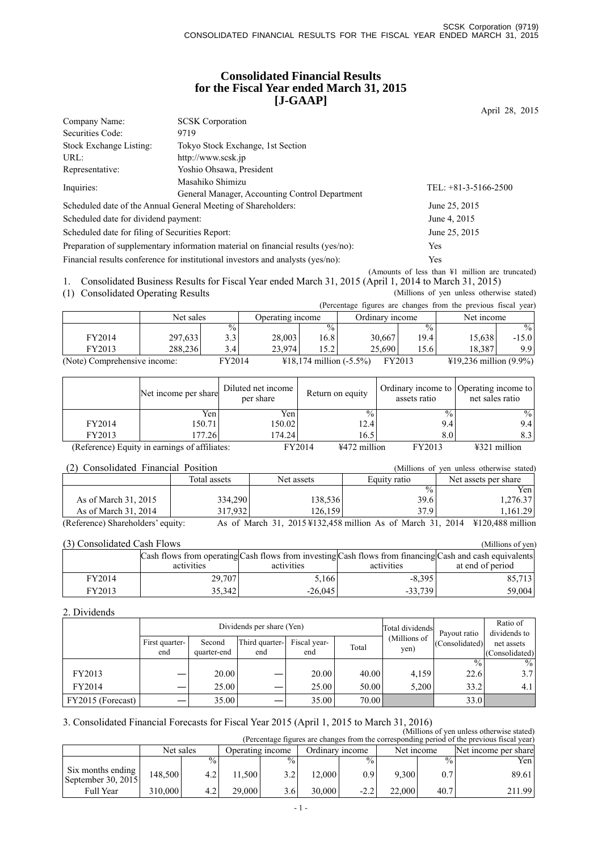### **Consolidated Financial Results for the Fiscal Year ended March 31, 2015 [J-GAAP]**

April 28, 2015

| Company Name:                                                                    | <b>SCSK</b> Corporation                                                         |                                                  |
|----------------------------------------------------------------------------------|---------------------------------------------------------------------------------|--------------------------------------------------|
| Securities Code:                                                                 | 9719                                                                            |                                                  |
| Stock Exchange Listing:                                                          | Tokyo Stock Exchange, 1st Section                                               |                                                  |
| URL:                                                                             | http://www.scsk.jp                                                              |                                                  |
| Representative:                                                                  | Yoshio Ohsawa, President                                                        |                                                  |
| Inquiries:                                                                       | Masahiko Shimizu                                                                | TEL: $+81-3-5166-2500$                           |
|                                                                                  | General Manager, Accounting Control Department                                  |                                                  |
|                                                                                  | Scheduled date of the Annual General Meeting of Shareholders:                   | June 25, 2015                                    |
| Scheduled date for dividend payment:                                             |                                                                                 | June 4, 2015                                     |
| Scheduled date for filing of Securities Report:                                  |                                                                                 | June 25, 2015                                    |
| Preparation of supplementary information material on financial results (yes/no): |                                                                                 | Yes                                              |
|                                                                                  | Financial results conference for institutional investors and analysts (yes/no): | Yes                                              |
|                                                                                  |                                                                                 | (Amounts of less than \#1 million are truncated) |

1. Consolidated Business Results for Fiscal Year ended March 31, 2015 (April 1, 2014 to March 31, 2015)

(1) Consolidated Operating Results (Millions of yen unless otherwise stated)

(Percentage figures are changes from the previous fiscal year)

|                              |           |               |                  |                                   |                 |               | $\mathbf{r}$ . The contract $\mathbf{r}$ and $\mathbf{r}$ are $\mathbf{r}$ . The second contract $\mathbf{r}$ | $\sim$        |
|------------------------------|-----------|---------------|------------------|-----------------------------------|-----------------|---------------|---------------------------------------------------------------------------------------------------------------|---------------|
|                              | Net sales |               | Operating income |                                   | Ordinary income |               | Net income                                                                                                    |               |
|                              |           | $\frac{0}{0}$ |                  | $\frac{0}{0}$                     |                 | $\frac{0}{0}$ |                                                                                                               | $\frac{0}{0}$ |
| FY2014                       | 297,633   | 3.3           | 28,003           | 16.8                              | 30,667          | 19.4          | 15,638                                                                                                        | $-15.0$       |
| FY2013                       | 288.236   | 3.4           | 23.974           | にっ                                | 25.690          | 15.6          | 18.387                                                                                                        | 9.9           |
| (Note) Comprehensive income: |           | FY2014        |                  | $\text{\#18,174}$ million (-5.5%) |                 | FY2013        | $\text{\#19,236}$ million (9.9%)                                                                              |               |

|                                               | Net income per share | Diluted net income<br>per share | Return on equity         | assets ratio    | Ordinary income to Operating income to<br>net sales ratio |
|-----------------------------------------------|----------------------|---------------------------------|--------------------------|-----------------|-----------------------------------------------------------|
|                                               | Yen                  | Yen                             | $\frac{0}{0}$ .          | $\frac{0}{0}$ . | $\frac{0}{0}$                                             |
| FY2014                                        | 150.71               | 150.02                          | 12.4                     | 9.4             | 9.4                                                       |
| FY2013                                        | 177.26               | 174.24                          | 16.5                     | 8.0             | 8.3                                                       |
| (Reference) Equity in earnings of affiliates: |                      |                                 | FY2014<br>$4472$ million | FY2013          | $4321$ million                                            |

(2) Consolidated Financial Position (Millions of yen unless otherwise stated)

| (2) Consondated Financial Foshion |              |            | (Millions of ven uniess otherwise stated) |                                                                             |
|-----------------------------------|--------------|------------|-------------------------------------------|-----------------------------------------------------------------------------|
|                                   | Total assets | Net assets | Equity ratio                              | Net assets per share                                                        |
|                                   |              |            | $\frac{0}{0}$                             | Yen                                                                         |
| As of March 31, 2015              | 334.290      | 138.536    | 39.6                                      | 1,276.37                                                                    |
| As of March 31, 2014              | 317.932      | 126.159    | 37.9                                      | 1,161.29                                                                    |
| (Reference) Shareholders' equity: |              |            |                                           | As of March 31, 2015 ¥132,458 million As of March 31, 2014 ¥120,488 million |

| (3) Consolidated Cash Flows<br>(Millions of yen) |            |            |            |                                                                                                         |  |  |  |  |  |
|--------------------------------------------------|------------|------------|------------|---------------------------------------------------------------------------------------------------------|--|--|--|--|--|
|                                                  |            |            |            | Cash flows from operating Cash flows from investing Cash flows from financing Cash and cash equivalents |  |  |  |  |  |
|                                                  | activities | activities | activities | at end of period                                                                                        |  |  |  |  |  |
| FY2014                                           | 29,707     | 5,166      | $-8.395$   | 85.713                                                                                                  |  |  |  |  |  |
| FY2013                                           | 35,342     | $-26.045$  | $-33.739$  | 59,004                                                                                                  |  |  |  |  |  |

#### 2. Dividends

|                   |                |             | Dividends per share (Yen) | Total dividends | Payout ratio | Ratio of<br>dividends to |                |                  |
|-------------------|----------------|-------------|---------------------------|-----------------|--------------|--------------------------|----------------|------------------|
|                   | First quarter- | Second      | Third quarter-            | Fiscal year-    | Total        | (Millions of             | (Consolidated) | net assets       |
|                   | end            | quarter-end | end                       | end             |              | yen)                     |                | (Consolidated)   |
|                   |                |             |                           |                 |              |                          | $\frac{0}{0}$  | $\frac{0}{0}$    |
| FY2013            |                | 20.00       |                           | 20.00           | 40.00        | 4.159                    | 22.6           | 3.7              |
| FY2014            |                | 25.00       | _                         | 25.00           | 50.00        | 5.200                    | 33.2           | 4.1 <sup>1</sup> |
| FY2015 (Forecast) |                | 35.00       |                           | 35.00           | 70.00        |                          | 33.0           |                  |

### 3. Consolidated Financial Forecasts for Fiscal Year 2015 (April 1, 2015 to March 31, 2016)

| (Millions of yen unless otherwise stated)<br>(Percentage figures are changes from the corresponding period of the previous fiscal year) |                               |               |        |                 |        |               |        |                      |        |
|-----------------------------------------------------------------------------------------------------------------------------------------|-------------------------------|---------------|--------|-----------------|--------|---------------|--------|----------------------|--------|
|                                                                                                                                         | Net sales<br>Operating income |               |        | Ordinary income |        | Net income    |        | Net income per share |        |
|                                                                                                                                         |                               | $\frac{0}{0}$ |        | $\frac{0}{0}$   |        | $\frac{0}{0}$ |        | $\frac{9}{6}$ 1      | Yen    |
| Six months ending<br>September 30, 2015                                                                                                 | 148.500                       |               | 11.500 | 3.2             | 12.000 | 0.9           | 9.300  | 0.7                  | 89.61  |
| <b>Full Year</b>                                                                                                                        | 310,000                       | 4.2           | 29.000 | 3.6             | 30.000 | $-2.2$        | 22,000 | 40.7                 | 211.99 |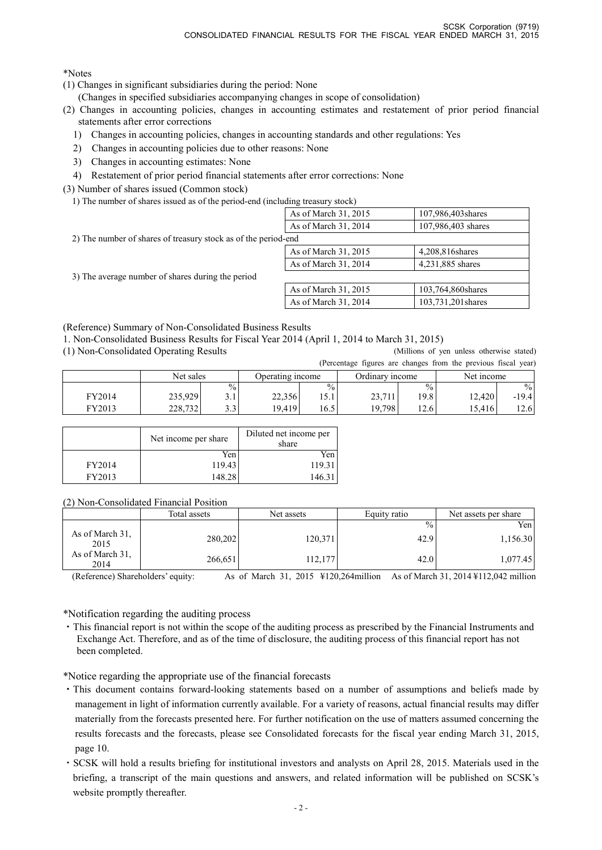\*Notes

- (1) Changes in significant subsidiaries during the period: None
	- (Changes in specified subsidiaries accompanying changes in scope of consolidation)
- (2) Changes in accounting policies, changes in accounting estimates and restatement of prior period financial statements after error corrections
	- 1) Changes in accounting policies, changes in accounting standards and other regulations: Yes
	- 2) Changes in accounting policies due to other reasons: None
	- 3) Changes in accounting estimates: None
	- 4) Restatement of prior period financial statements after error corrections: None
- (3) Number of shares issued (Common stock)
	- 1) The number of shares issued as of the period-end (including treasury stock)

|                                                                | As of March 31, 2015 | 107,986,403 shares |
|----------------------------------------------------------------|----------------------|--------------------|
|                                                                | As of March 31, 2014 | 107,986,403 shares |
| 2) The number of shares of treasury stock as of the period-end |                      |                    |
|                                                                | As of March 31, 2015 | 4,208,816 shares   |
|                                                                | As of March 31, 2014 | 4,231,885 shares   |
| 3) The average number of shares during the period              |                      |                    |
|                                                                | As of March 31, 2015 | 103,764,860 shares |
|                                                                | As of March 31, 2014 | 103,731,201 shares |

(Reference) Summary of Non-Consolidated Business Results

1. Non-Consolidated Business Results for Fiscal Year 2014 (April 1, 2014 to March 31, 2015)

(1) Non-Consolidated Operating Results (Millions of yen unless otherwise stated)

(Percentage figures are changes from the previous fiscal year)

|        |           |               |                  |               |                 |               | $\mu$ creditage rights are enanges from the previous fiscal year) |               |
|--------|-----------|---------------|------------------|---------------|-----------------|---------------|-------------------------------------------------------------------|---------------|
|        | Net sales |               | Operating income |               | Ordinary income |               | Net income                                                        |               |
|        |           | $\frac{0}{0}$ |                  | $\frac{0}{0}$ |                 | $\frac{0}{0}$ |                                                                   | $\frac{0}{0}$ |
| FY2014 | 235.929   |               | 22.356           | 15.1          | 23,711          | 19.81         | 12.420                                                            | -19.41        |
| FY2013 | 228,732   | 2.2.          | 19.419           | 16.5          | 19.798          | 12.6          | 15,416                                                            | 12.6          |

|        | Net income per share | Diluted net income per<br>share |
|--------|----------------------|---------------------------------|
|        | Yen                  | Yen                             |
| FY2014 | 119.43               | 119.31                          |
| FY2013 | 148.28               | 146.3                           |

(2) Non-Consolidated Financial Position

|                         | Total assets | Net assets | Equity ratio  | Net assets per share |
|-------------------------|--------------|------------|---------------|----------------------|
|                         |              |            | $\frac{0}{0}$ | Yen l                |
| As of March 31.<br>2015 | 280,202      | 120,371    | 42.9          | 1,156.30             |
| As of March 31,<br>2014 | 266,651      | 112,177    | 42.0          | 1,077.45             |

(Reference) Shareholders' equity: As of March 31, 2015 ¥120,264million As of March 31, 2014 ¥112,042 million

\*Notification regarding the auditing process

・This financial report is not within the scope of the auditing process as prescribed by the Financial Instruments and Exchange Act. Therefore, and as of the time of disclosure, the auditing process of this financial report has not been completed.

\*Notice regarding the appropriate use of the financial forecasts

- ・This document contains forward-looking statements based on a number of assumptions and beliefs made by management in light of information currently available. For a variety of reasons, actual financial results may differ materially from the forecasts presented here. For further notification on the use of matters assumed concerning the results forecasts and the forecasts, please see Consolidated forecasts for the fiscal year ending March 31, 2015, page 10.
- ・SCSK will hold a results briefing for institutional investors and analysts on April 28, 2015. Materials used in the briefing, a transcript of the main questions and answers, and related information will be published on SCSK's website promptly thereafter.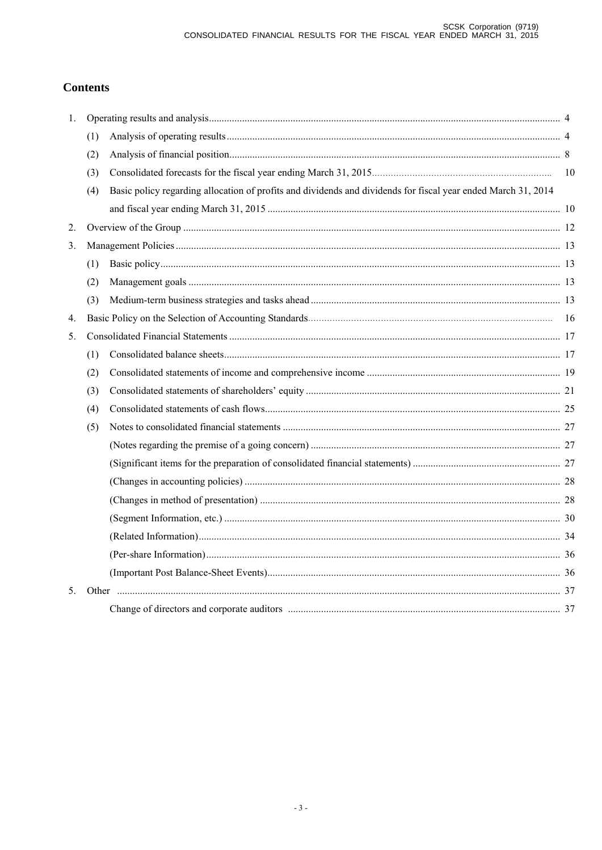## **Contents**

| 1. |     |                                                                                                               |  |  |  |  |  |
|----|-----|---------------------------------------------------------------------------------------------------------------|--|--|--|--|--|
|    | (1) |                                                                                                               |  |  |  |  |  |
|    | (2) |                                                                                                               |  |  |  |  |  |
|    | (3) |                                                                                                               |  |  |  |  |  |
|    | (4) | Basic policy regarding allocation of profits and dividends and dividends for fiscal year ended March 31, 2014 |  |  |  |  |  |
|    |     |                                                                                                               |  |  |  |  |  |
| 2. |     |                                                                                                               |  |  |  |  |  |
| 3. |     |                                                                                                               |  |  |  |  |  |
|    | (1) |                                                                                                               |  |  |  |  |  |
|    | (2) |                                                                                                               |  |  |  |  |  |
|    | (3) |                                                                                                               |  |  |  |  |  |
| 4. |     |                                                                                                               |  |  |  |  |  |
| 5. |     |                                                                                                               |  |  |  |  |  |
|    | (1) |                                                                                                               |  |  |  |  |  |
|    | (2) |                                                                                                               |  |  |  |  |  |
|    | (3) |                                                                                                               |  |  |  |  |  |
|    | (4) |                                                                                                               |  |  |  |  |  |
|    | (5) |                                                                                                               |  |  |  |  |  |
|    |     |                                                                                                               |  |  |  |  |  |
|    |     |                                                                                                               |  |  |  |  |  |
|    |     |                                                                                                               |  |  |  |  |  |
|    |     |                                                                                                               |  |  |  |  |  |
|    |     |                                                                                                               |  |  |  |  |  |
|    |     |                                                                                                               |  |  |  |  |  |
|    |     |                                                                                                               |  |  |  |  |  |
|    |     |                                                                                                               |  |  |  |  |  |
| 5. |     |                                                                                                               |  |  |  |  |  |
|    |     |                                                                                                               |  |  |  |  |  |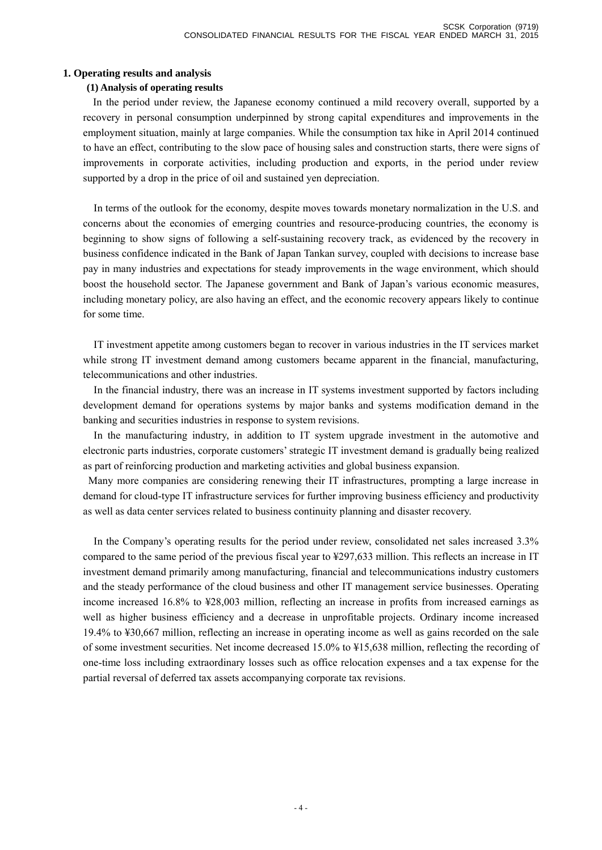### **1. Operating results and analysis**

### **(1) Analysis of operating results**

In the period under review, the Japanese economy continued a mild recovery overall, supported by a recovery in personal consumption underpinned by strong capital expenditures and improvements in the employment situation, mainly at large companies. While the consumption tax hike in April 2014 continued to have an effect, contributing to the slow pace of housing sales and construction starts, there were signs of improvements in corporate activities, including production and exports, in the period under review supported by a drop in the price of oil and sustained yen depreciation.

In terms of the outlook for the economy, despite moves towards monetary normalization in the U.S. and concerns about the economies of emerging countries and resource-producing countries, the economy is beginning to show signs of following a self-sustaining recovery track, as evidenced by the recovery in business confidence indicated in the Bank of Japan Tankan survey, coupled with decisions to increase base pay in many industries and expectations for steady improvements in the wage environment, which should boost the household sector. The Japanese government and Bank of Japan's various economic measures, including monetary policy, are also having an effect, and the economic recovery appears likely to continue for some time.

IT investment appetite among customers began to recover in various industries in the IT services market while strong IT investment demand among customers became apparent in the financial, manufacturing, telecommunications and other industries.

In the financial industry, there was an increase in IT systems investment supported by factors including development demand for operations systems by major banks and systems modification demand in the banking and securities industries in response to system revisions.

In the manufacturing industry, in addition to IT system upgrade investment in the automotive and electronic parts industries, corporate customers' strategic IT investment demand is gradually being realized as part of reinforcing production and marketing activities and global business expansion.

Many more companies are considering renewing their IT infrastructures, prompting a large increase in demand for cloud-type IT infrastructure services for further improving business efficiency and productivity as well as data center services related to business continuity planning and disaster recovery.

In the Company's operating results for the period under review, consolidated net sales increased 3.3% compared to the same period of the previous fiscal year to ¥297,633 million. This reflects an increase in IT investment demand primarily among manufacturing, financial and telecommunications industry customers and the steady performance of the cloud business and other IT management service businesses. Operating income increased 16.8% to ¥28,003 million, reflecting an increase in profits from increased earnings as well as higher business efficiency and a decrease in unprofitable projects. Ordinary income increased 19.4% to ¥30,667 million, reflecting an increase in operating income as well as gains recorded on the sale of some investment securities. Net income decreased 15.0% to ¥15,638 million, reflecting the recording of one-time loss including extraordinary losses such as office relocation expenses and a tax expense for the partial reversal of deferred tax assets accompanying corporate tax revisions.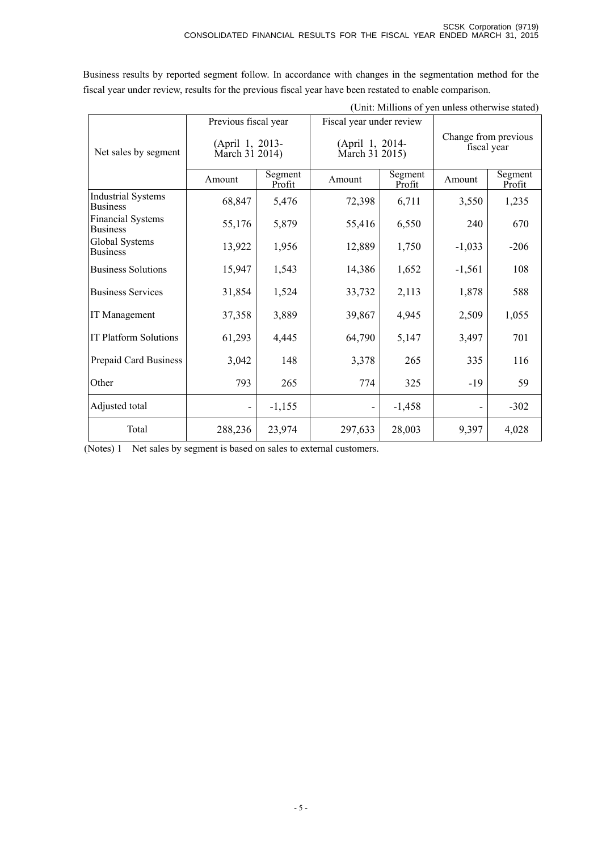| (Unit: Millions of yen unless otherwise stated) |                                   |                   |                          |                                   |                |                                     |  |
|-------------------------------------------------|-----------------------------------|-------------------|--------------------------|-----------------------------------|----------------|-------------------------------------|--|
|                                                 | Previous fiscal year              |                   | Fiscal year under review |                                   |                |                                     |  |
| Net sales by segment                            | (April 1, 2013-<br>March 31 2014) |                   |                          | (April 1, 2014-<br>March 31 2015) |                | Change from previous<br>fiscal year |  |
|                                                 | Amount                            | Segment<br>Profit | Amount                   | Segment<br>Profit                 | Amount         | Segment<br>Profit                   |  |
| <b>Industrial Systems</b><br><b>Business</b>    | 68,847                            | 5,476             | 72,398                   | 6,711                             | 3,550          | 1,235                               |  |
| <b>Financial Systems</b><br><b>Business</b>     | 55,176                            | 5,879             | 55,416                   | 6,550                             | 240            | 670                                 |  |
| Global Systems<br><b>Business</b>               | 13,922                            | 1,956             | 12,889                   | 1,750                             | $-1,033$       | $-206$                              |  |
| <b>Business Solutions</b>                       | 15,947                            | 1,543             | 14,386                   | 1,652                             | $-1,561$       | 108                                 |  |
| <b>Business Services</b>                        | 31,854                            | 1,524             | 33,732                   | 2,113                             | 1,878          | 588                                 |  |
| IT Management                                   | 37,358                            | 3,889             | 39,867                   | 4,945                             | 2,509          | 1,055                               |  |
| <b>IT Platform Solutions</b>                    | 61,293                            | 4,445             | 64,790                   | 5,147                             | 3,497          | 701                                 |  |
| Prepaid Card Business                           | 3,042                             | 148               | 3,378                    | 265                               | 335            | 116                                 |  |
| Other                                           | 793                               | 265               | 774                      | 325                               | $-19$          | 59                                  |  |
| Adjusted total                                  |                                   | $-1,155$          |                          | $-1,458$                          | $\overline{a}$ | $-302$                              |  |
| Total                                           | 288,236                           | 23,974            | 297,633                  | 28,003                            | 9,397          | 4,028                               |  |

Business results by reported segment follow. In accordance with changes in the segmentation method for the fiscal year under review, results for the previous fiscal year have been restated to enable comparison.

(Notes) 1 Net sales by segment is based on sales to external customers.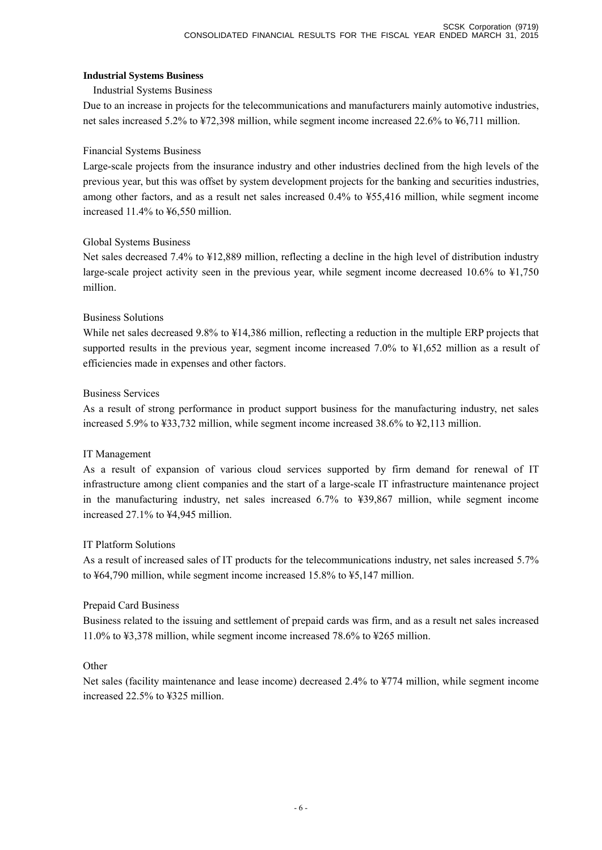### **Industrial Systems Business**

### Industrial Systems Business

Due to an increase in projects for the telecommunications and manufacturers mainly automotive industries, net sales increased 5.2% to ¥72,398 million, while segment income increased 22.6% to ¥6,711 million.

### Financial Systems Business

Large-scale projects from the insurance industry and other industries declined from the high levels of the previous year, but this was offset by system development projects for the banking and securities industries, among other factors, and as a result net sales increased 0.4% to ¥55,416 million, while segment income increased 11.4% to ¥6,550 million.

### Global Systems Business

Net sales decreased 7.4% to ¥12,889 million, reflecting a decline in the high level of distribution industry large-scale project activity seen in the previous year, while segment income decreased 10.6% to ¥1,750 million.

### Business Solutions

While net sales decreased 9.8% to ¥14,386 million, reflecting a reduction in the multiple ERP projects that supported results in the previous year, segment income increased 7.0% to ¥1,652 million as a result of efficiencies made in expenses and other factors.

### Business Services

As a result of strong performance in product support business for the manufacturing industry, net sales increased 5.9% to ¥33,732 million, while segment income increased 38.6% to ¥2,113 million.

### IT Management

As a result of expansion of various cloud services supported by firm demand for renewal of IT infrastructure among client companies and the start of a large-scale IT infrastructure maintenance project in the manufacturing industry, net sales increased 6.7% to ¥39,867 million, while segment income increased 27.1% to ¥4,945 million.

### IT Platform Solutions

As a result of increased sales of IT products for the telecommunications industry, net sales increased 5.7% to ¥64,790 million, while segment income increased 15.8% to ¥5,147 million.

### Prepaid Card Business

Business related to the issuing and settlement of prepaid cards was firm, and as a result net sales increased 11.0% to ¥3,378 million, while segment income increased 78.6% to ¥265 million.

### **Other**

Net sales (facility maintenance and lease income) decreased 2.4% to ¥774 million, while segment income increased 22.5% to ¥325 million.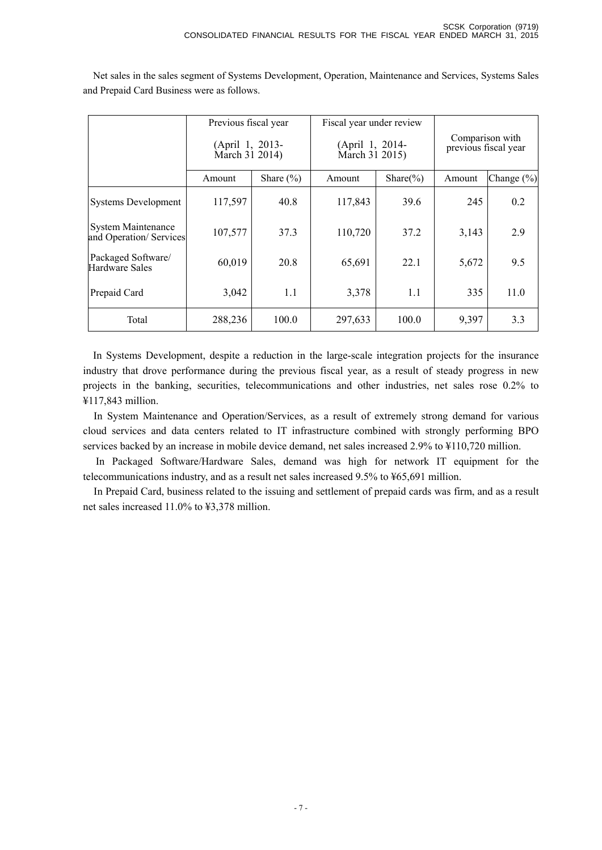|                                                     | Previous fiscal year<br>(April 1, 2013-<br>March $31$ 2014) |               | Fiscal year under review<br>(April 1, 2014-<br>March 31 2015) |               | Comparison with<br>previous fiscal year |            |
|-----------------------------------------------------|-------------------------------------------------------------|---------------|---------------------------------------------------------------|---------------|-----------------------------------------|------------|
|                                                     | Amount                                                      | Share $(\% )$ | Amount                                                        | Share $(\% )$ | Amount                                  | Change (%) |
| <b>Systems Development</b>                          | 117,597                                                     | 40.8          | 117,843                                                       | 39.6          | 245                                     | 0.2        |
| <b>System Maintenance</b><br>and Operation/Services | 107,577                                                     | 37.3          | 110,720                                                       | 37.2          | 3,143                                   | 2.9        |
| Packaged Software/<br><b>Hardware Sales</b>         | 60,019                                                      | 20.8          | 65,691                                                        | 22.1          | 5,672                                   | 9.5        |
| Prepaid Card                                        | 3,042                                                       | 1.1           | 3,378                                                         | 1.1           | 335                                     | 11.0       |
| Total                                               | 288,236                                                     | 100.0         | 297,633                                                       | 100.0         | 9,397                                   | 3.3        |

Net sales in the sales segment of Systems Development, Operation, Maintenance and Services, Systems Sales and Prepaid Card Business were as follows.

In Systems Development, despite a reduction in the large-scale integration projects for the insurance industry that drove performance during the previous fiscal year, as a result of steady progress in new projects in the banking, securities, telecommunications and other industries, net sales rose 0.2% to ¥117,843 million.

In System Maintenance and Operation/Services, as a result of extremely strong demand for various cloud services and data centers related to IT infrastructure combined with strongly performing BPO services backed by an increase in mobile device demand, net sales increased 2.9% to ¥110,720 million.

In Packaged Software/Hardware Sales, demand was high for network IT equipment for the telecommunications industry, and as a result net sales increased 9.5% to ¥65,691 million.

In Prepaid Card, business related to the issuing and settlement of prepaid cards was firm, and as a result net sales increased 11.0% to ¥3,378 million.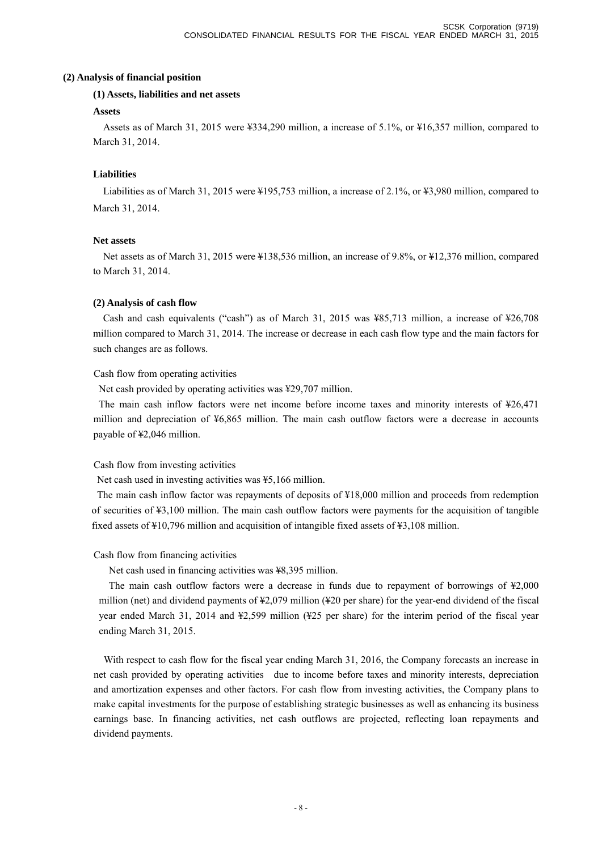#### **(2) Analysis of financial position**

#### **(1) Assets, liabilities and net assets**

#### **Assets**

Assets as of March 31, 2015 were ¥334,290 million, a increase of 5.1%, or ¥16,357 million, compared to March 31, 2014.

### **Liabilities**

Liabilities as of March 31, 2015 were ¥195,753 million, a increase of 2.1%, or ¥3,980 million, compared to March 31, 2014.

### **Net assets**

Net assets as of March 31, 2015 were ¥138,536 million, an increase of 9.8%, or ¥12,376 million, compared to March 31, 2014.

### **(2) Analysis of cash flow**

Cash and cash equivalents ("cash") as of March 31, 2015 was  $\frac{185,713}{100,000}$  million, a increase of  $\frac{126,708}{100,000}$ million compared to March 31, 2014. The increase or decrease in each cash flow type and the main factors for such changes are as follows.

Cash flow from operating activities

Net cash provided by operating activities was ¥29,707 million.

The main cash inflow factors were net income before income taxes and minority interests of ¥26,471 million and depreciation of ¥6,865 million. The main cash outflow factors were a decrease in accounts payable of ¥2,046 million.

### Cash flow from investing activities

Net cash used in investing activities was ¥5,166 million.

The main cash inflow factor was repayments of deposits of ¥18,000 million and proceeds from redemption of securities of ¥3,100 million. The main cash outflow factors were payments for the acquisition of tangible fixed assets of ¥10,796 million and acquisition of intangible fixed assets of ¥3,108 million.

### Cash flow from financing activities

Net cash used in financing activities was ¥8,395 million.

The main cash outflow factors were a decrease in funds due to repayment of borrowings of ¥2,000 million (net) and dividend payments of ¥2,079 million (¥20 per share) for the year-end dividend of the fiscal year ended March 31, 2014 and ¥2,599 million (¥25 per share) for the interim period of the fiscal year ending March 31, 2015.

With respect to cash flow for the fiscal year ending March 31, 2016, the Company forecasts an increase in net cash provided by operating activities due to income before taxes and minority interests, depreciation and amortization expenses and other factors. For cash flow from investing activities, the Company plans to make capital investments for the purpose of establishing strategic businesses as well as enhancing its business earnings base. In financing activities, net cash outflows are projected, reflecting loan repayments and dividend payments.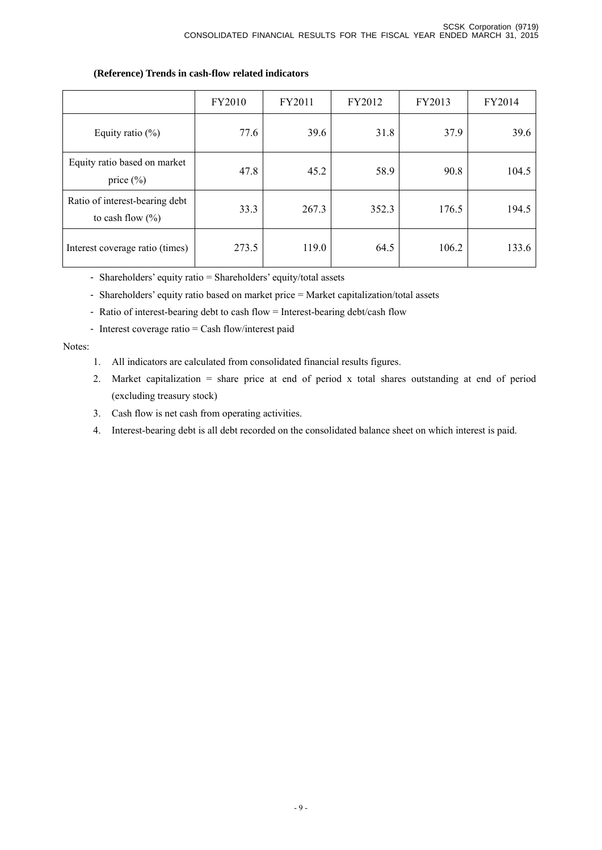# FY2010 FY2011 FY2012 FY2013 FY2014 Equity ratio (%) 77.6 39.6 31.8 37.9 39.6 Equity ratio based on market price (%) 47.8 45.2 58.9 90.8 104.5 Ratio of interest-bearing debt to cash flow  $(\% )$ 33.3 267.3 352.3 176.5 194.5 Interest coverage ratio (times) 273.5 119.0 64.5 106.2 133.6

### **(Reference) Trends in cash-flow related indicators**

- Shareholders' equity ratio = Shareholders' equity/total assets

- Shareholders' equity ratio based on market price = Market capitalization/total assets

- Ratio of interest-bearing debt to cash flow = Interest-bearing debt/cash flow
- Interest coverage ratio = Cash flow/interest paid

#### Notes:

- 1. All indicators are calculated from consolidated financial results figures.
- 2. Market capitalization = share price at end of period x total shares outstanding at end of period (excluding treasury stock)
- 3. Cash flow is net cash from operating activities.
- 4. Interest-bearing debt is all debt recorded on the consolidated balance sheet on which interest is paid.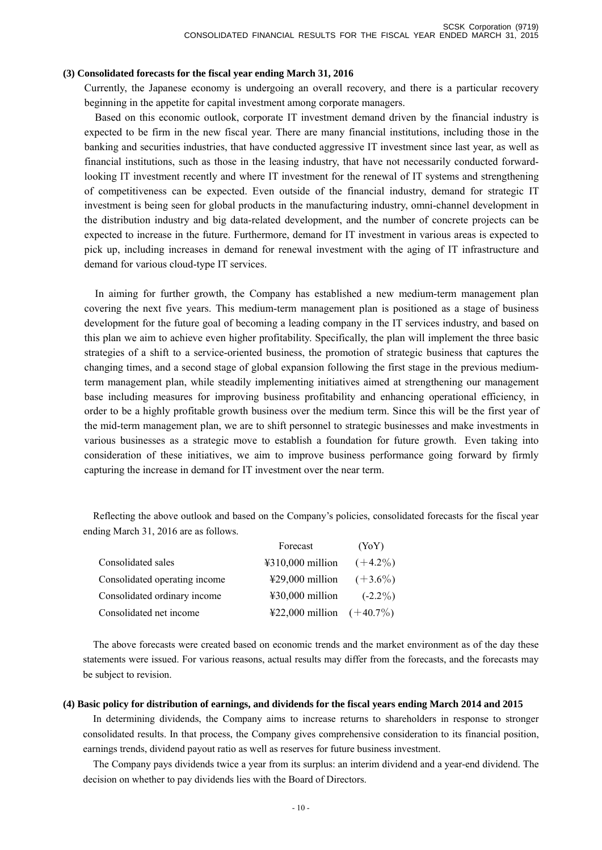#### **(3) Consolidated forecasts for the fiscal year ending March 31, 2016**

Currently, the Japanese economy is undergoing an overall recovery, and there is a particular recovery beginning in the appetite for capital investment among corporate managers.

Based on this economic outlook, corporate IT investment demand driven by the financial industry is expected to be firm in the new fiscal year. There are many financial institutions, including those in the banking and securities industries, that have conducted aggressive IT investment since last year, as well as financial institutions, such as those in the leasing industry, that have not necessarily conducted forwardlooking IT investment recently and where IT investment for the renewal of IT systems and strengthening of competitiveness can be expected. Even outside of the financial industry, demand for strategic IT investment is being seen for global products in the manufacturing industry, omni-channel development in the distribution industry and big data-related development, and the number of concrete projects can be expected to increase in the future. Furthermore, demand for IT investment in various areas is expected to pick up, including increases in demand for renewal investment with the aging of IT infrastructure and demand for various cloud-type IT services.

In aiming for further growth, the Company has established a new medium-term management plan covering the next five years. This medium-term management plan is positioned as a stage of business development for the future goal of becoming a leading company in the IT services industry, and based on this plan we aim to achieve even higher profitability. Specifically, the plan will implement the three basic strategies of a shift to a service-oriented business, the promotion of strategic business that captures the changing times, and a second stage of global expansion following the first stage in the previous mediumterm management plan, while steadily implementing initiatives aimed at strengthening our management base including measures for improving business profitability and enhancing operational efficiency, in order to be a highly profitable growth business over the medium term. Since this will be the first year of the mid-term management plan, we are to shift personnel to strategic businesses and make investments in various businesses as a strategic move to establish a foundation for future growth. Even taking into consideration of these initiatives, we aim to improve business performance going forward by firmly capturing the increase in demand for IT investment over the near term.

Reflecting the above outlook and based on the Company's policies, consolidated forecasts for the fiscal year ending March 31, 2016 are as follows.

|                               | Forecast                    | (YoY)      |
|-------------------------------|-----------------------------|------------|
| Consolidated sales            | $4310,000$ million          | $(+4.2\%)$ |
| Consolidated operating income | ¥29,000 million $(+3.6\%)$  |            |
| Consolidated ordinary income  | $430,000$ million           | $(-2.2\%)$ |
| Consolidated net income       | ¥22,000 million $(+40.7\%)$ |            |

The above forecasts were created based on economic trends and the market environment as of the day these statements were issued. For various reasons, actual results may differ from the forecasts, and the forecasts may be subject to revision.

#### **(4) Basic policy for distribution of earnings, and dividends for the fiscal years ending March 2014 and 2015**

In determining dividends, the Company aims to increase returns to shareholders in response to stronger consolidated results. In that process, the Company gives comprehensive consideration to its financial position, earnings trends, dividend payout ratio as well as reserves for future business investment.

The Company pays dividends twice a year from its surplus: an interim dividend and a year-end dividend. The decision on whether to pay dividends lies with the Board of Directors.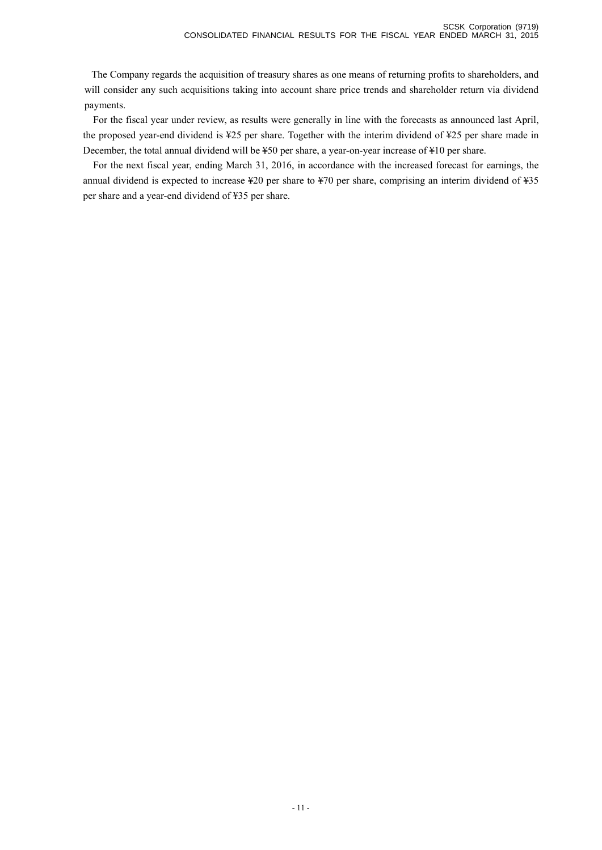The Company regards the acquisition of treasury shares as one means of returning profits to shareholders, and will consider any such acquisitions taking into account share price trends and shareholder return via dividend payments.

For the fiscal year under review, as results were generally in line with the forecasts as announced last April, the proposed year-end dividend is ¥25 per share. Together with the interim dividend of ¥25 per share made in December, the total annual dividend will be ¥50 per share, a year-on-year increase of ¥10 per share.

For the next fiscal year, ending March 31, 2016, in accordance with the increased forecast for earnings, the annual dividend is expected to increase ¥20 per share to ¥70 per share, comprising an interim dividend of ¥35 per share and a year-end dividend of ¥35 per share.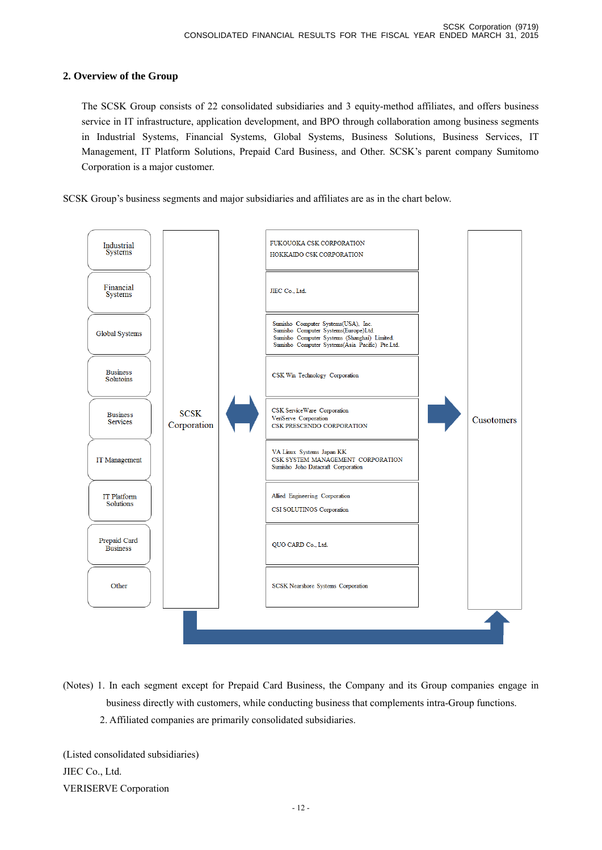### **2. Overview of the Group**

 The SCSK Group consists of 22 consolidated subsidiaries and 3 equity-method affiliates, and offers business service in IT infrastructure, application development, and BPO through collaboration among business segments in Industrial Systems, Financial Systems, Global Systems, Business Solutions, Business Services, IT Management, IT Platform Solutions, Prepaid Card Business, and Other. SCSK's parent company Sumitomo Corporation is a major customer.

SCSK Group's business segments and major subsidiaries and affiliates are as in the chart below.



(Notes) 1. In each segment except for Prepaid Card Business, the Company and its Group companies engage in business directly with customers, while conducting business that complements intra-Group functions. 2. Affiliated companies are primarily consolidated subsidiaries.

(Listed consolidated subsidiaries) JIEC Co., Ltd. VERISERVE Corporation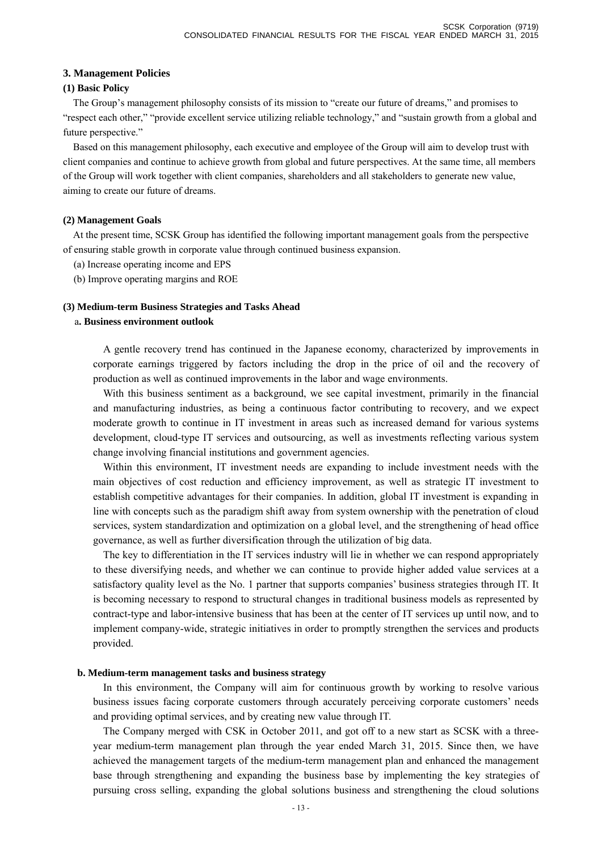#### **3. Management Policies**

#### **(1) Basic Policy**

The Group's management philosophy consists of its mission to "create our future of dreams," and promises to "respect each other," "provide excellent service utilizing reliable technology," and "sustain growth from a global and future perspective."

Based on this management philosophy, each executive and employee of the Group will aim to develop trust with client companies and continue to achieve growth from global and future perspectives. At the same time, all members of the Group will work together with client companies, shareholders and all stakeholders to generate new value, aiming to create our future of dreams.

#### **(2) Management Goals**

At the present time, SCSK Group has identified the following important management goals from the perspective of ensuring stable growth in corporate value through continued business expansion.

- (a) Increase operating income and EPS
- (b) Improve operating margins and ROE

#### **(3) Medium-term Business Strategies and Tasks Ahead**

#### a**. Business environment outlook**

A gentle recovery trend has continued in the Japanese economy, characterized by improvements in corporate earnings triggered by factors including the drop in the price of oil and the recovery of production as well as continued improvements in the labor and wage environments.

With this business sentiment as a background, we see capital investment, primarily in the financial and manufacturing industries, as being a continuous factor contributing to recovery, and we expect moderate growth to continue in IT investment in areas such as increased demand for various systems development, cloud-type IT services and outsourcing, as well as investments reflecting various system change involving financial institutions and government agencies.

Within this environment, IT investment needs are expanding to include investment needs with the main objectives of cost reduction and efficiency improvement, as well as strategic IT investment to establish competitive advantages for their companies. In addition, global IT investment is expanding in line with concepts such as the paradigm shift away from system ownership with the penetration of cloud services, system standardization and optimization on a global level, and the strengthening of head office governance, as well as further diversification through the utilization of big data.

The key to differentiation in the IT services industry will lie in whether we can respond appropriately to these diversifying needs, and whether we can continue to provide higher added value services at a satisfactory quality level as the No. 1 partner that supports companies' business strategies through IT. It is becoming necessary to respond to structural changes in traditional business models as represented by contract-type and labor-intensive business that has been at the center of IT services up until now, and to implement company-wide, strategic initiatives in order to promptly strengthen the services and products provided.

#### **b. Medium-term management tasks and business strategy**

In this environment, the Company will aim for continuous growth by working to resolve various business issues facing corporate customers through accurately perceiving corporate customers' needs and providing optimal services, and by creating new value through IT.

The Company merged with CSK in October 2011, and got off to a new start as SCSK with a threeyear medium-term management plan through the year ended March 31, 2015. Since then, we have achieved the management targets of the medium-term management plan and enhanced the management base through strengthening and expanding the business base by implementing the key strategies of pursuing cross selling, expanding the global solutions business and strengthening the cloud solutions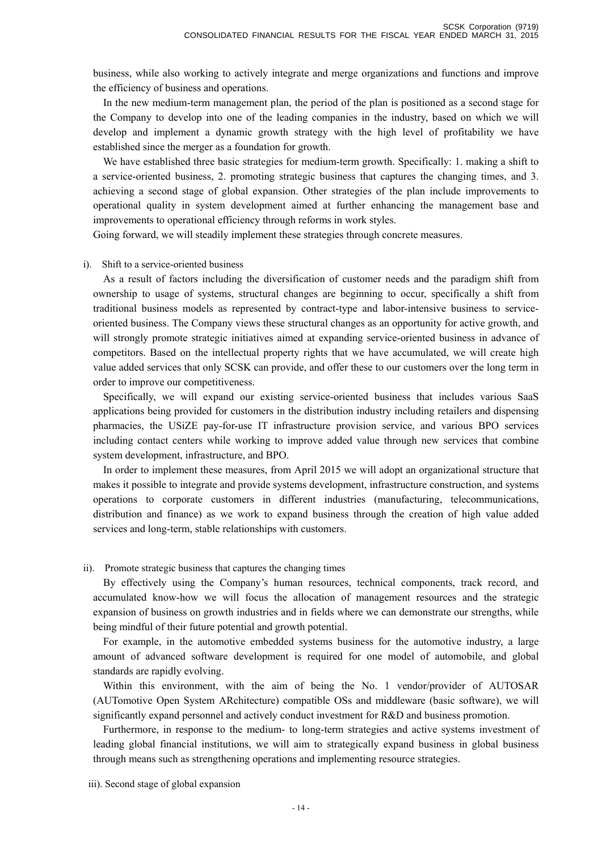business, while also working to actively integrate and merge organizations and functions and improve the efficiency of business and operations.

In the new medium-term management plan, the period of the plan is positioned as a second stage for the Company to develop into one of the leading companies in the industry, based on which we will develop and implement a dynamic growth strategy with the high level of profitability we have established since the merger as a foundation for growth.

We have established three basic strategies for medium-term growth. Specifically: 1. making a shift to a service-oriented business, 2. promoting strategic business that captures the changing times, and 3. achieving a second stage of global expansion. Other strategies of the plan include improvements to operational quality in system development aimed at further enhancing the management base and improvements to operational efficiency through reforms in work styles.

Going forward, we will steadily implement these strategies through concrete measures.

#### i). Shift to a service-oriented business

As a result of factors including the diversification of customer needs and the paradigm shift from ownership to usage of systems, structural changes are beginning to occur, specifically a shift from traditional business models as represented by contract-type and labor-intensive business to serviceoriented business. The Company views these structural changes as an opportunity for active growth, and will strongly promote strategic initiatives aimed at expanding service-oriented business in advance of competitors. Based on the intellectual property rights that we have accumulated, we will create high value added services that only SCSK can provide, and offer these to our customers over the long term in order to improve our competitiveness.

Specifically, we will expand our existing service-oriented business that includes various SaaS applications being provided for customers in the distribution industry including retailers and dispensing pharmacies, the USiZE pay-for-use IT infrastructure provision service, and various BPO services including contact centers while working to improve added value through new services that combine system development, infrastructure, and BPO.

In order to implement these measures, from April 2015 we will adopt an organizational structure that makes it possible to integrate and provide systems development, infrastructure construction, and systems operations to corporate customers in different industries (manufacturing, telecommunications, distribution and finance) as we work to expand business through the creation of high value added services and long-term, stable relationships with customers.

#### ii). Promote strategic business that captures the changing times

By effectively using the Company's human resources, technical components, track record, and accumulated know-how we will focus the allocation of management resources and the strategic expansion of business on growth industries and in fields where we can demonstrate our strengths, while being mindful of their future potential and growth potential.

For example, in the automotive embedded systems business for the automotive industry, a large amount of advanced software development is required for one model of automobile, and global standards are rapidly evolving.

Within this environment, with the aim of being the No. 1 vendor/provider of AUTOSAR (AUTomotive Open System ARchitecture) compatible OSs and middleware (basic software), we will significantly expand personnel and actively conduct investment for R&D and business promotion.

Furthermore, in response to the medium- to long-term strategies and active systems investment of leading global financial institutions, we will aim to strategically expand business in global business through means such as strengthening operations and implementing resource strategies.

iii). Second stage of global expansion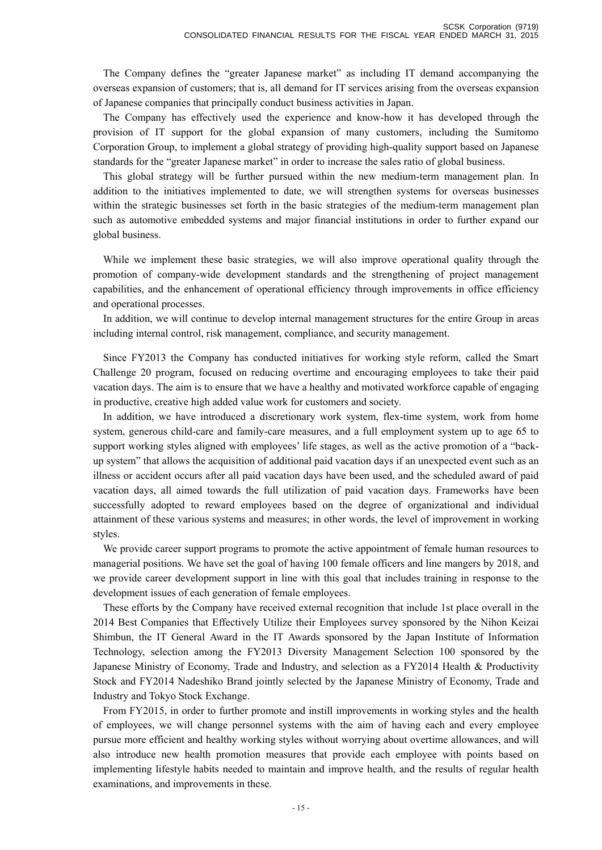The Company defines the "greater Japanese market" as including IT demand accompanying the overseas expansion of customers; that is, all demand for IT services arising from the overseas expansion of Japanese companies that principally conduct business activities in Japan.

The Company has effectively used the experience and know-how it has developed through the provision of IT support for the global expansion of many customers, including the Sumitomo Corporation Group, to implement a global strategy of providing high-quality support based on Japanese standards for the "greater Japanese market" in order to increase the sales ratio of global business.

This global strategy will be further pursued within the new medium-term management plan. In addition to the initiatives implemented to date, we will strengthen systems for overseas businesses within the strategic businesses set forth in the basic strategies of the medium-term management plan such as automotive embedded systems and major financial institutions in order to further expand our global business.

While we implement these basic strategies, we will also improve operational quality through the promotion of company-wide development standards and the strengthening of project management capabilities, and the enhancement of operational efficiency through improvements in office efficiency and operational processes.

In addition, we will continue to develop internal management structures for the entire Group in areas including internal control, risk management, compliance, and security management.

Since FY2013 the Company has conducted initiatives for working style reform, called the Smart Challenge 20 program, focused on reducing overtime and encouraging employees to take their paid vacation days. The aim is to ensure that we have a healthy and motivated workforce capable of engaging in productive, creative high added value work for customers and society.

In addition, we have introduced a discretionary work system, flex-time system, work from home system, generous child-care and family-care measures, and a full employment system up to age 65 to support working styles aligned with employees' life stages, as well as the active promotion of a "backup system" that allows the acquisition of additional paid vacation days if an unexpected event such as an illness or accident occurs after all paid vacation days have been used, and the scheduled award of paid vacation days, all aimed towards the full utilization of paid vacation days. Frameworks have been successfully adopted to reward employees based on the degree of organizational and individual attainment of these various systems and measures; in other words, the level of improvement in working styles.

We provide career support programs to promote the active appointment of female human resources to managerial positions. We have set the goal of having 100 female officers and line mangers by 2018, and we provide career development support in line with this goal that includes training in response to the development issues of each generation of female employees.

These efforts by the Company have received external recognition that include 1st place overall in the 2014 Best Companies that Effectively Utilize their Employees survey sponsored by the Nihon Keizai Shimbun, the IT General Award in the IT Awards sponsored by the Japan Institute of Information Technology, selection among the FY2013 Diversity Management Selection 100 sponsored by the Japanese Ministry of Economy, Trade and Industry, and selection as a FY2014 Health & Productivity Stock and FY2014 Nadeshiko Brand jointly selected by the Japanese Ministry of Economy, Trade and Industry and Tokyo Stock Exchange.

From FY2015, in order to further promote and instill improvements in working styles and the health of employees, we will change personnel systems with the aim of having each and every employee pursue more efficient and healthy working styles without worrying about overtime allowances, and will also introduce new health promotion measures that provide each employee with points based on implementing lifestyle habits needed to maintain and improve health, and the results of regular health examinations, and improvements in these.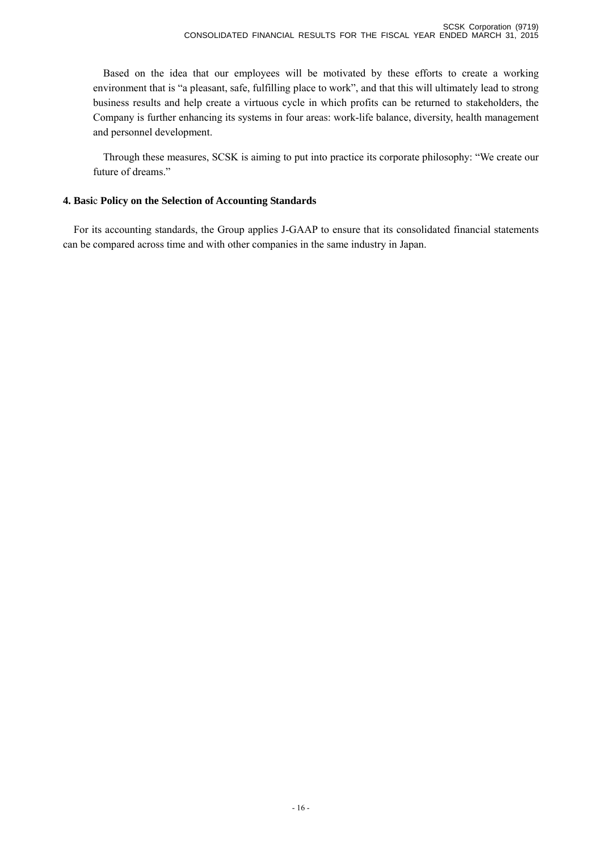Based on the idea that our employees will be motivated by these efforts to create a working environment that is "a pleasant, safe, fulfilling place to work", and that this will ultimately lead to strong business results and help create a virtuous cycle in which profits can be returned to stakeholders, the Company is further enhancing its systems in four areas: work-life balance, diversity, health management and personnel development.

Through these measures, SCSK is aiming to put into practice its corporate philosophy: "We create our future of dreams."

### **4. Basi**c **Policy on the Selection of Accounting Standards**

For its accounting standards, the Group applies J-GAAP to ensure that its consolidated financial statements can be compared across time and with other companies in the same industry in Japan.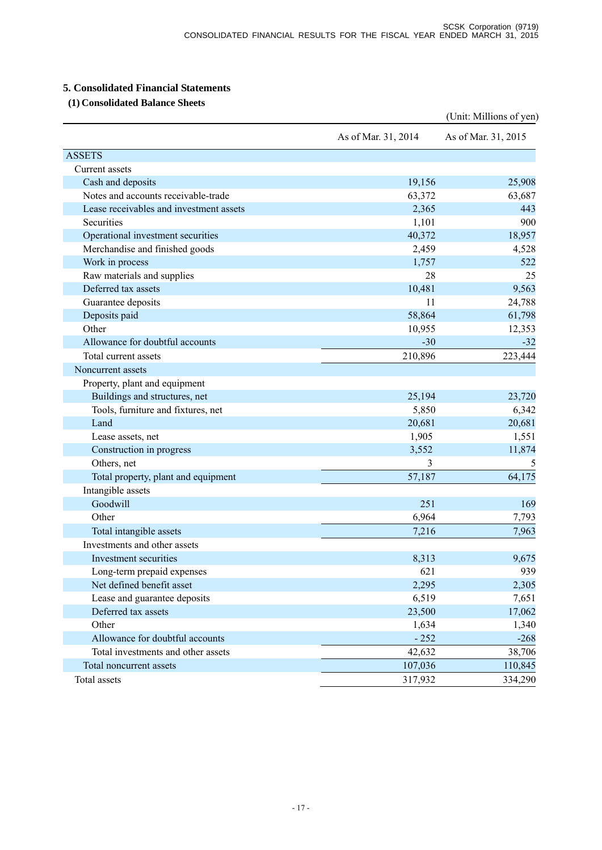### **5. Consolidated Financial Statements**

### **(1) Consolidated Balance Sheets**

|                                         |                     | (Unit: Millions of yen) |
|-----------------------------------------|---------------------|-------------------------|
|                                         | As of Mar. 31, 2014 | As of Mar. 31, 2015     |
| <b>ASSETS</b>                           |                     |                         |
| Current assets                          |                     |                         |
| Cash and deposits                       | 19,156              | 25,908                  |
| Notes and accounts receivable-trade     | 63,372              | 63,687                  |
| Lease receivables and investment assets | 2,365               | 443                     |
| Securities                              | 1,101               | 900                     |
| Operational investment securities       | 40,372              | 18,957                  |
| Merchandise and finished goods          | 2,459               | 4,528                   |
| Work in process                         | 1,757               | 522                     |
| Raw materials and supplies              | 28                  | 25                      |
| Deferred tax assets                     | 10,481              | 9,563                   |
| Guarantee deposits                      | 11                  | 24,788                  |
| Deposits paid                           | 58,864              | 61,798                  |
| Other                                   | 10,955              | 12,353                  |
| Allowance for doubtful accounts         | $-30$               | $-32$                   |
| Total current assets                    | 210,896             | 223,444                 |
| Noncurrent assets                       |                     |                         |
| Property, plant and equipment           |                     |                         |
| Buildings and structures, net           | 25,194              | 23,720                  |
| Tools, furniture and fixtures, net      | 5,850               | 6,342                   |
| Land                                    | 20,681              | 20,681                  |
| Lease assets, net                       | 1,905               | 1,551                   |
| Construction in progress                | 3,552               | 11,874                  |
| Others, net                             | 3                   | 5                       |
| Total property, plant and equipment     | 57,187              | 64,175                  |
| Intangible assets                       |                     |                         |
| Goodwill                                | 251                 | 169                     |
| Other                                   | 6,964               | 7,793                   |
| Total intangible assets                 | 7,216               | 7,963                   |
| Investments and other assets            |                     |                         |
| Investment securities                   | 8,313               | 9,675                   |
| Long-term prepaid expenses              | 621                 | 939                     |
| Net defined benefit asset               | 2,295               | 2,305                   |
| Lease and guarantee deposits            | 6,519               | 7,651                   |
| Deferred tax assets                     | 23,500              | 17,062                  |
| Other                                   | 1,634               | 1,340                   |
| Allowance for doubtful accounts         | $-252$              | $-268$                  |
| Total investments and other assets      | 42,632              | 38,706                  |
| Total noncurrent assets                 | 107,036             | 110,845                 |
| Total assets                            | 317,932             | 334,290                 |
|                                         |                     |                         |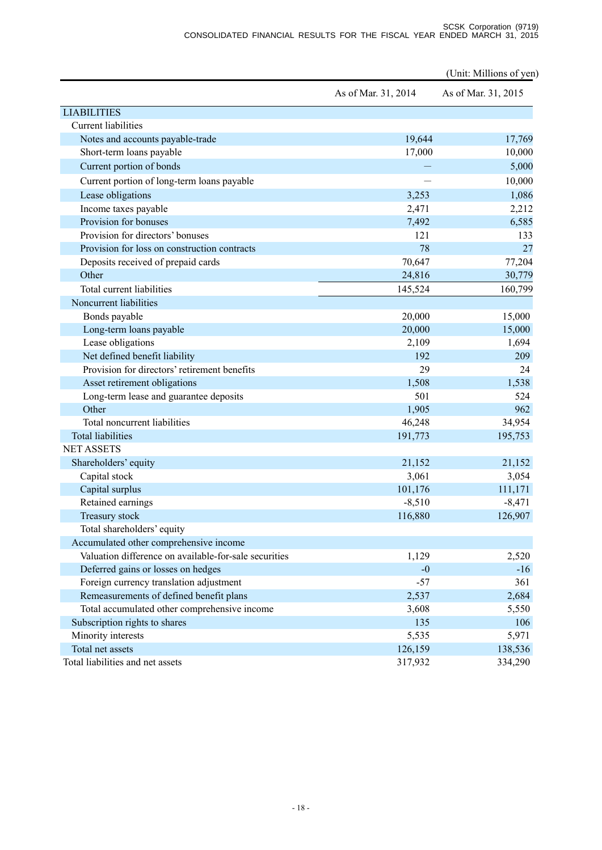(Unit: Millions of yen)

|                                                       | As of Mar. 31, 2014 | As of Mar. 31, 2015 |
|-------------------------------------------------------|---------------------|---------------------|
| <b>LIABILITIES</b>                                    |                     |                     |
| <b>Current liabilities</b>                            |                     |                     |
| Notes and accounts payable-trade                      | 19,644              | 17,769              |
| Short-term loans payable                              | 17,000              | 10,000              |
| Current portion of bonds                              |                     | 5,000               |
| Current portion of long-term loans payable            |                     | 10,000              |
| Lease obligations                                     | 3,253               | 1,086               |
| Income taxes payable                                  | 2,471               | 2,212               |
| Provision for bonuses                                 | 7,492               | 6,585               |
| Provision for directors' bonuses                      | 121                 | 133                 |
| Provision for loss on construction contracts          | 78                  | 27                  |
| Deposits received of prepaid cards                    | 70,647              | 77,204              |
| Other                                                 | 24,816              | 30,779              |
| Total current liabilities                             | 145,524             | 160,799             |
| Noncurrent liabilities                                |                     |                     |
| Bonds payable                                         | 20,000              | 15,000              |
| Long-term loans payable                               | 20,000              | 15,000              |
| Lease obligations                                     | 2,109               | 1,694               |
| Net defined benefit liability                         | 192                 | 209                 |
| Provision for directors' retirement benefits          | 29                  | 24                  |
| Asset retirement obligations                          | 1,508               | 1,538               |
| Long-term lease and guarantee deposits                | 501                 | 524                 |
| Other                                                 | 1,905               | 962                 |
| Total noncurrent liabilities                          | 46,248              | 34,954              |
| <b>Total liabilities</b>                              | 191,773             | 195,753             |
| <b>NET ASSETS</b>                                     |                     |                     |
| Shareholders' equity                                  | 21,152              | 21,152              |
| Capital stock                                         | 3,061               | 3,054               |
| Capital surplus                                       | 101,176             | 111,171             |
| Retained earnings                                     | $-8,510$            | $-8,471$            |
| Treasury stock                                        | 116,880             | 126,907             |
| Total shareholders' equity                            |                     |                     |
| Accumulated other comprehensive income                |                     |                     |
| Valuation difference on available-for-sale securities | 1,129               | 2,520               |
| Deferred gains or losses on hedges                    | $-0$                | $-16$               |
| Foreign currency translation adjustment               | $-57$               | 361                 |
| Remeasurements of defined benefit plans               | 2,537               | 2,684               |
| Total accumulated other comprehensive income          | 3,608               | 5,550               |
| Subscription rights to shares                         | 135                 | 106                 |
| Minority interests                                    | 5,535               | 5,971               |
| Total net assets                                      | 126,159             | 138,536             |
| Total liabilities and net assets                      | 317,932             | 334,290             |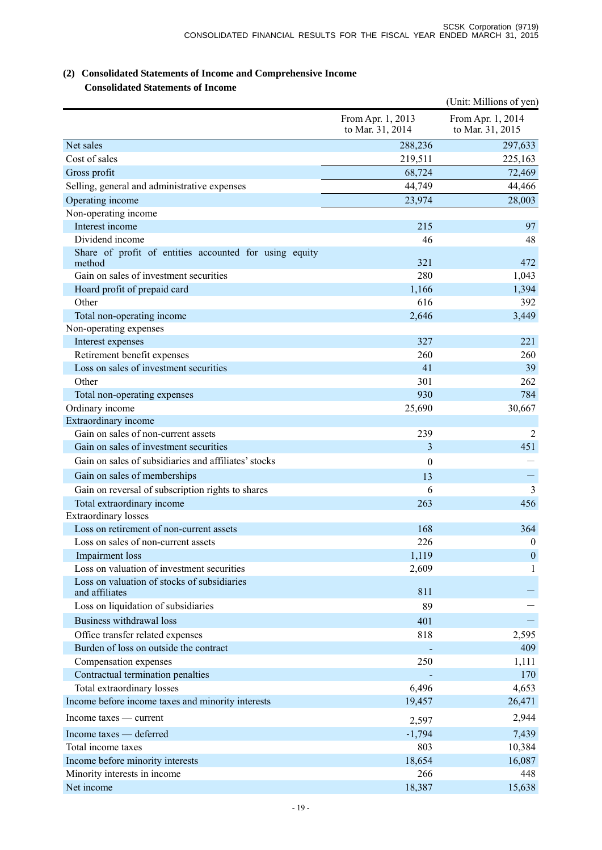### **(2) Consolidated Statements of Income and Comprehensive Income Consolidated Statements of Income**

|                                                                           |                                       | (Unit: Millions of yen)               |
|---------------------------------------------------------------------------|---------------------------------------|---------------------------------------|
|                                                                           | From Apr. 1, 2013<br>to Mar. 31, 2014 | From Apr. 1, 2014<br>to Mar. 31, 2015 |
| Net sales                                                                 | 288,236                               | 297,633                               |
| Cost of sales                                                             | 219,511                               | 225,163                               |
| Gross profit                                                              | 68,724                                | 72,469                                |
| Selling, general and administrative expenses                              | 44,749                                | 44,466                                |
| Operating income                                                          | 23,974                                | 28,003                                |
| Non-operating income                                                      |                                       |                                       |
| Interest income                                                           | 215                                   | 97                                    |
| Dividend income<br>Share of profit of entities accounted for using equity | 46                                    | 48                                    |
| method                                                                    | 321                                   | 472                                   |
| Gain on sales of investment securities                                    | 280                                   | 1,043                                 |
| Hoard profit of prepaid card                                              | 1,166                                 | 1,394                                 |
| Other                                                                     | 616                                   | 392                                   |
| Total non-operating income                                                | 2,646                                 | 3,449                                 |
| Non-operating expenses                                                    |                                       |                                       |
| Interest expenses                                                         | 327                                   | 221                                   |
| Retirement benefit expenses                                               | 260                                   | 260                                   |
| Loss on sales of investment securities                                    | 41                                    | 39                                    |
| Other                                                                     | 301                                   | 262                                   |
| Total non-operating expenses                                              | 930                                   | 784                                   |
| Ordinary income                                                           | 25,690                                | 30,667                                |
| Extraordinary income<br>Gain on sales of non-current assets               | 239                                   | 2                                     |
| Gain on sales of investment securities                                    | 3                                     | 451                                   |
| Gain on sales of subsidiaries and affiliates' stocks                      | $\theta$                              |                                       |
|                                                                           |                                       |                                       |
| Gain on sales of memberships                                              | 13                                    |                                       |
| Gain on reversal of subscription rights to shares                         | 6                                     | 3                                     |
| Total extraordinary income<br><b>Extraordinary losses</b>                 | 263                                   | 456                                   |
| Loss on retirement of non-current assets                                  | 168                                   | 364                                   |
| Loss on sales of non-current assets                                       | 226                                   | $\boldsymbol{0}$                      |
| Impairment loss                                                           | 1,119                                 | $\mathbf{0}$                          |
| Loss on valuation of investment securities                                | 2,609                                 | 1                                     |
| Loss on valuation of stocks of subsidiaries                               |                                       |                                       |
| and affiliates                                                            | 811                                   |                                       |
| Loss on liquidation of subsidiaries                                       | 89                                    |                                       |
| Business withdrawal loss                                                  | 401                                   |                                       |
| Office transfer related expenses                                          | 818                                   | 2,595                                 |
| Burden of loss on outside the contract                                    |                                       | 409                                   |
| Compensation expenses                                                     | 250                                   | 1,111                                 |
| Contractual termination penalties                                         |                                       | 170                                   |
| Total extraordinary losses                                                | 6,496                                 | 4,653                                 |
| Income before income taxes and minority interests                         | 19,457                                | 26,471                                |
| Income taxes — current                                                    | 2,597                                 | 2,944                                 |
| Income taxes — deferred                                                   | $-1,794$                              | 7,439                                 |
| Total income taxes                                                        | 803                                   | 10,384                                |
| Income before minority interests                                          | 18,654                                | 16,087                                |
| Minority interests in income                                              | 266                                   | 448                                   |
| Net income                                                                | 18,387                                | 15,638                                |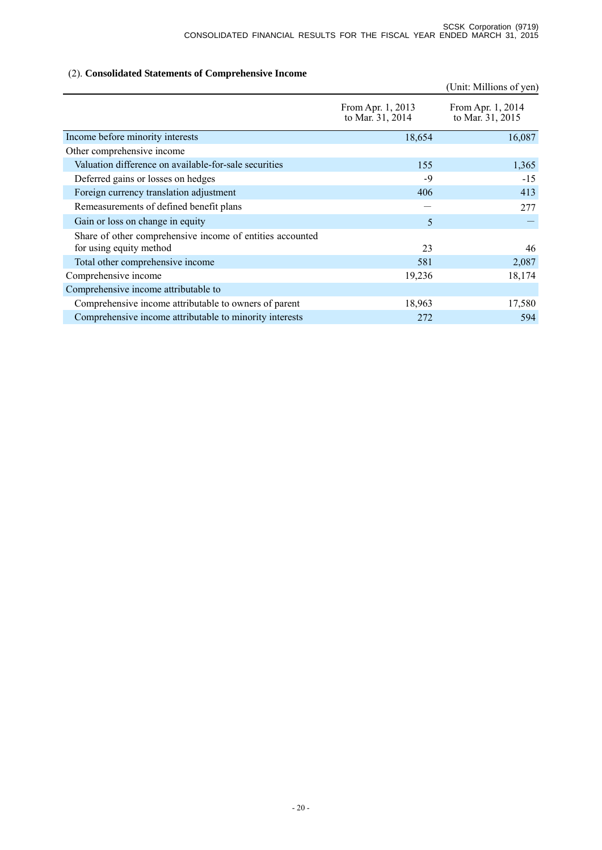### (2). **Consolidated Statements of Comprehensive Income**

|                                                                                      |                                       | (Unit: Millions of yen)               |
|--------------------------------------------------------------------------------------|---------------------------------------|---------------------------------------|
|                                                                                      | From Apr. 1, 2013<br>to Mar. 31, 2014 | From Apr. 1, 2014<br>to Mar. 31, 2015 |
| Income before minority interests                                                     | 18,654                                | 16,087                                |
| Other comprehensive income                                                           |                                       |                                       |
| Valuation difference on available-for-sale securities                                | 155                                   | 1,365                                 |
| Deferred gains or losses on hedges                                                   | $-9$                                  | $-15$                                 |
| Foreign currency translation adjustment                                              | 406                                   | 413                                   |
| Remeasurements of defined benefit plans                                              |                                       | 277                                   |
| Gain or loss on change in equity                                                     | 5                                     |                                       |
| Share of other comprehensive income of entities accounted<br>for using equity method | 23                                    | 46                                    |
| Total other comprehensive income                                                     | 581                                   | 2,087                                 |
| Comprehensive income                                                                 | 19,236                                | 18,174                                |
| Comprehensive income attributable to                                                 |                                       |                                       |
| Comprehensive income attributable to owners of parent                                | 18,963                                | 17,580                                |
| Comprehensive income attributable to minority interests                              | 272                                   | 594                                   |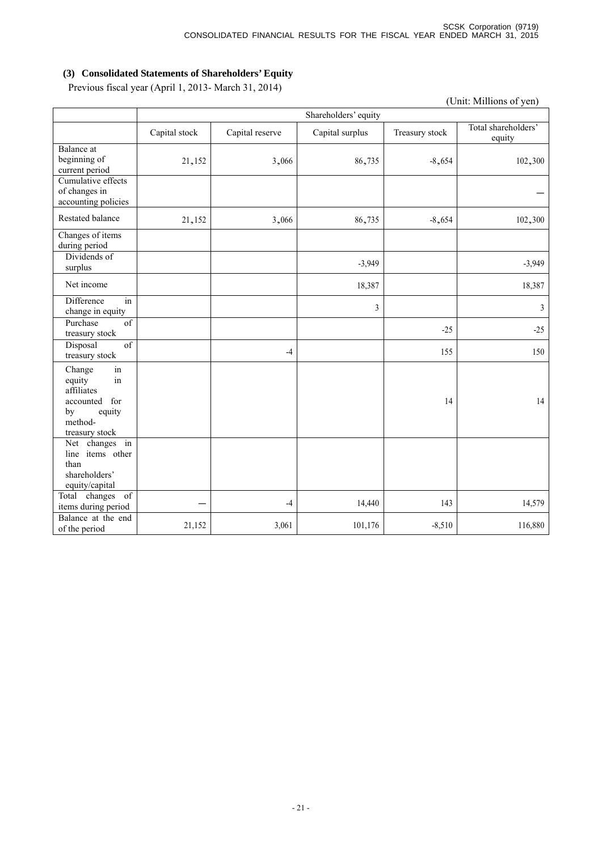### **(3) Consolidated Statements of Shareholders' Equity**

Previous fiscal year (April 1, 2013- March 31, 2014)

|                                                                                                             | (Unit: Millions of yen) |                      |                 |                |                               |  |  |
|-------------------------------------------------------------------------------------------------------------|-------------------------|----------------------|-----------------|----------------|-------------------------------|--|--|
|                                                                                                             |                         | Shareholders' equity |                 |                |                               |  |  |
|                                                                                                             | Capital stock           | Capital reserve      | Capital surplus | Treasury stock | Total shareholders'<br>equity |  |  |
| <b>Balance</b> at<br>beginning of<br>current period                                                         | 21,152                  | 3,066                | 86,735          | $-8,654$       | 102,300                       |  |  |
| Cumulative effects<br>of changes in<br>accounting policies                                                  |                         |                      |                 |                |                               |  |  |
| <b>Restated balance</b>                                                                                     | 21,152                  | 3,066                | 86,735          | $-8,654$       | 102,300                       |  |  |
| Changes of items<br>during period                                                                           |                         |                      |                 |                |                               |  |  |
| Dividends of<br>surplus                                                                                     |                         |                      | $-3,949$        |                | $-3,949$                      |  |  |
| Net income                                                                                                  |                         |                      | 18,387          |                | 18,387                        |  |  |
| Difference<br>in<br>change in equity                                                                        |                         |                      | $\mathfrak{Z}$  |                | 3                             |  |  |
| Purchase<br>of<br>treasury stock                                                                            |                         |                      |                 | $-25$          | $-25$                         |  |  |
| $\overline{\text{of}}$<br>Disposal<br>treasury stock                                                        |                         | $-4$                 |                 | 155            | 150                           |  |  |
| in<br>Change<br>equity<br>in<br>affiliates<br>accounted<br>for<br>equity<br>by<br>method-<br>treasury stock |                         |                      |                 | 14             | 14                            |  |  |
| Net changes in<br>line items other<br>than<br>shareholders'<br>equity/capital                               |                         |                      |                 |                |                               |  |  |
| Total changes<br>of<br>items during period                                                                  |                         | $-4$                 | 14,440          | 143            | 14,579                        |  |  |
| Balance at the end<br>of the period                                                                         | 21,152                  | 3,061                | 101,176         | $-8,510$       | 116,880                       |  |  |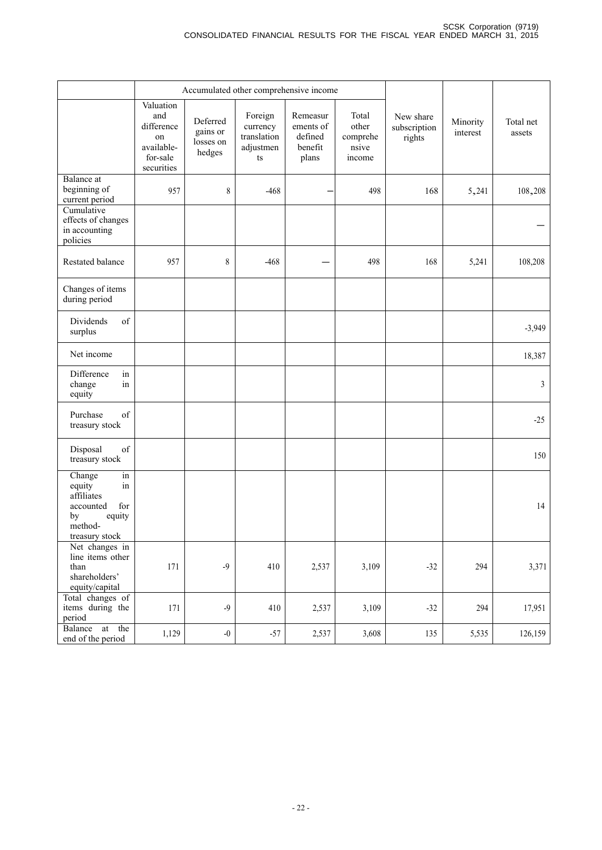|                                                                                                             |                                                                              | Accumulated other comprehensive income      |                                                                         |                                                      |                                               |                                     |                      |                     |
|-------------------------------------------------------------------------------------------------------------|------------------------------------------------------------------------------|---------------------------------------------|-------------------------------------------------------------------------|------------------------------------------------------|-----------------------------------------------|-------------------------------------|----------------------|---------------------|
|                                                                                                             | Valuation<br>and<br>difference<br>on<br>available-<br>for-sale<br>securities | Deferred<br>gains or<br>losses on<br>hedges | Foreign<br>currency<br>translation<br>adjustmen<br>$\mathop{\text{ts}}$ | Remeasur<br>ements of<br>defined<br>benefit<br>plans | Total<br>other<br>comprehe<br>nsive<br>income | New share<br>subscription<br>rights | Minority<br>interest | Total net<br>assets |
| <b>Balance</b> at<br>beginning of<br>current period                                                         | 957                                                                          | 8                                           | $-468$                                                                  |                                                      | 498                                           | 168                                 | 5,241                | 108,208             |
| Cumulative<br>effects of changes<br>in accounting<br>policies                                               |                                                                              |                                             |                                                                         |                                                      |                                               |                                     |                      |                     |
| Restated balance                                                                                            | 957                                                                          | 8                                           | $-468$                                                                  |                                                      | 498                                           | 168                                 | 5,241                | 108,208             |
| Changes of items<br>during period                                                                           |                                                                              |                                             |                                                                         |                                                      |                                               |                                     |                      |                     |
| of<br><b>Dividends</b><br>surplus                                                                           |                                                                              |                                             |                                                                         |                                                      |                                               |                                     |                      | $-3,949$            |
| Net income                                                                                                  |                                                                              |                                             |                                                                         |                                                      |                                               |                                     |                      | 18,387              |
| Difference<br>in<br>change<br>in<br>equity                                                                  |                                                                              |                                             |                                                                         |                                                      |                                               |                                     |                      | 3                   |
| of<br>Purchase<br>treasury stock                                                                            |                                                                              |                                             |                                                                         |                                                      |                                               |                                     |                      | $-25$               |
| of<br>Disposal<br>treasury stock                                                                            |                                                                              |                                             |                                                                         |                                                      |                                               |                                     |                      | 150                 |
| Change<br>in<br>equity<br>in<br>affiliates<br>for<br>accounted<br>by<br>equity<br>method-<br>treasury stock |                                                                              |                                             |                                                                         |                                                      |                                               |                                     |                      | 14                  |
| Net changes in<br>line items other<br>than<br>shareholders'<br>equity/capital                               | 171                                                                          | $-9$                                        | 410                                                                     | 2,537                                                | 3,109                                         | $-32$                               | 294                  | 3,371               |
| Total changes of<br>items during the<br>period                                                              | 171                                                                          | $-9$                                        | 410                                                                     | 2,537                                                | 3,109                                         | $-32$                               | 294                  | 17,951              |
| at the<br>Balance<br>end of the period                                                                      | 1,129                                                                        | $-0$                                        | $-57$                                                                   | 2,537                                                | 3,608                                         | 135                                 | 5,535                | 126,159             |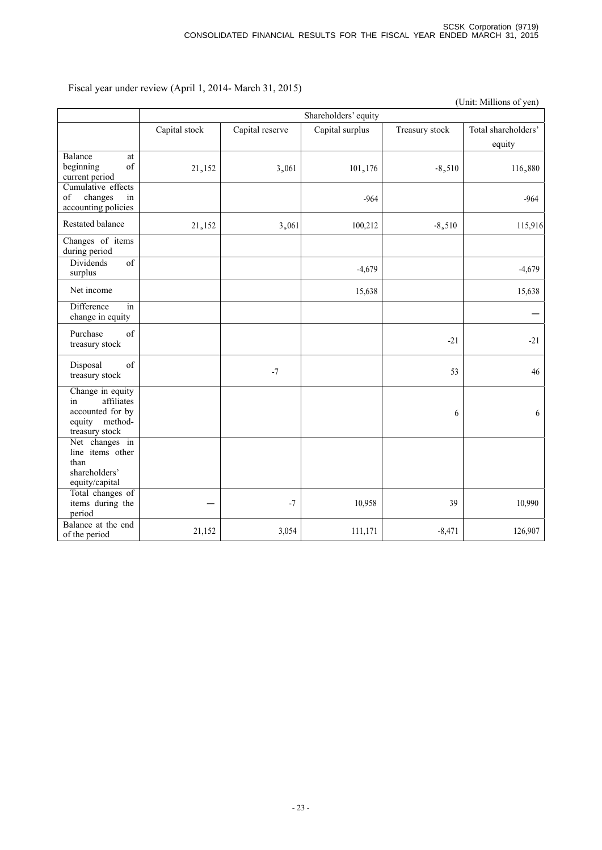(Unit: Millions of yen)

|                                                                                              | Shareholders' equity |                 |                 |                |                               |  |
|----------------------------------------------------------------------------------------------|----------------------|-----------------|-----------------|----------------|-------------------------------|--|
|                                                                                              | Capital stock        | Capital reserve | Capital surplus | Treasury stock | Total shareholders'<br>equity |  |
| Balance<br>at<br>of<br>beginning<br>current period                                           | 21,152               | 3,061           | 101,176         | $-8,510$       | 116,880                       |  |
| Cumulative effects<br>of<br>changes<br>in<br>accounting policies                             |                      |                 | $-964$          |                | $-964$                        |  |
| Restated balance                                                                             | 21,152               | 3,061           | 100,212         | $-8,510$       | 115,916                       |  |
| Changes of items<br>during period                                                            |                      |                 |                 |                |                               |  |
| <b>Dividends</b><br>$\overline{of}$<br>surplus                                               |                      |                 | $-4,679$        |                | $-4,679$                      |  |
| Net income                                                                                   |                      |                 | 15,638          |                | 15,638                        |  |
| Difference<br>in<br>change in equity                                                         |                      |                 |                 |                |                               |  |
| of<br>Purchase<br>treasury stock                                                             |                      |                 |                 | $-21$          | $-21$                         |  |
| Disposal<br>of<br>treasury stock                                                             |                      | $-7$            |                 | 53             | 46                            |  |
| Change in equity<br>affiliates<br>in<br>accounted for by<br>equity method-<br>treasury stock |                      |                 |                 | 6              | 6                             |  |
| Net changes in<br>line items other<br>than<br>shareholders'<br>equity/capital                |                      |                 |                 |                |                               |  |
| Total changes of<br>items during the<br>period                                               |                      | $-7$            | 10,958          | 39             | 10,990                        |  |
| Balance at the end<br>of the period                                                          | 21,152               | 3,054           | 111,171         | $-8,471$       | 126,907                       |  |

Fiscal year under review (April 1, 2014- March 31, 2015)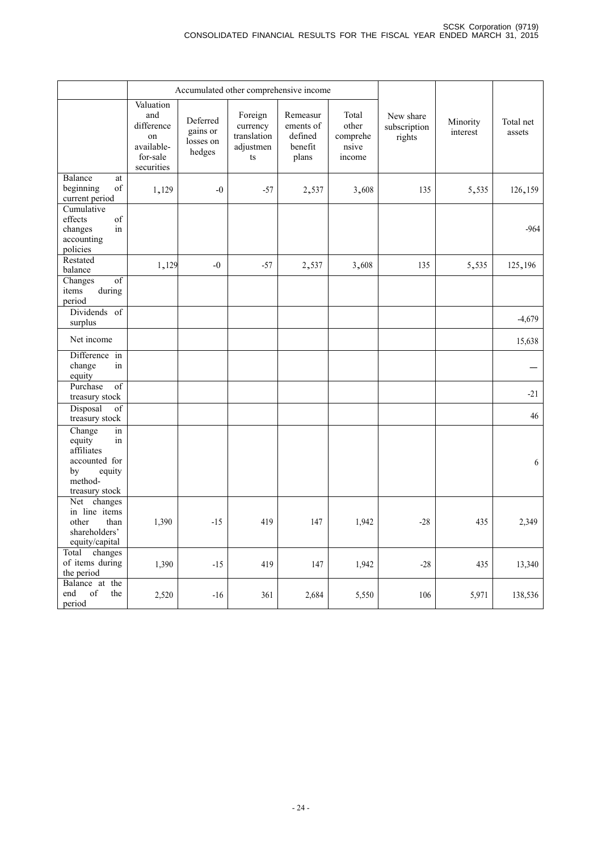|                                                                                                          |                                                                              | Accumulated other comprehensive income      |                                                       |                                                      |                                               |                                     |                      |                     |
|----------------------------------------------------------------------------------------------------------|------------------------------------------------------------------------------|---------------------------------------------|-------------------------------------------------------|------------------------------------------------------|-----------------------------------------------|-------------------------------------|----------------------|---------------------|
|                                                                                                          | Valuation<br>and<br>difference<br>on<br>available-<br>for-sale<br>securities | Deferred<br>gains or<br>losses on<br>hedges | Foreign<br>currency<br>translation<br>adjustmen<br>ts | Remeasur<br>ements of<br>defined<br>benefit<br>plans | Total<br>other<br>comprehe<br>nsive<br>income | New share<br>subscription<br>rights | Minority<br>interest | Total net<br>assets |
| Balance<br>at<br>beginning<br>of<br>current period                                                       | 1,129                                                                        | $-0$                                        | $-57$                                                 | 2,537                                                | 3,608                                         | 135                                 | 5,535                | 126,159             |
| Cumulative<br>effects<br>of<br>in<br>changes<br>accounting<br>policies                                   |                                                                              |                                             |                                                       |                                                      |                                               |                                     |                      | $-964$              |
| Restated<br>balance                                                                                      | 1,129                                                                        | $-0$                                        | $-57$                                                 | 2,537                                                | 3,608                                         | 135                                 | 5,535                | 125,196             |
| $\overline{of}$<br>Changes<br>during<br>items<br>period                                                  |                                                                              |                                             |                                                       |                                                      |                                               |                                     |                      |                     |
| Dividends of<br>surplus                                                                                  |                                                                              |                                             |                                                       |                                                      |                                               |                                     |                      | $-4,679$            |
| Net income                                                                                               |                                                                              |                                             |                                                       |                                                      |                                               |                                     |                      | 15,638              |
| Difference in<br>change<br>in<br>equity                                                                  |                                                                              |                                             |                                                       |                                                      |                                               |                                     |                      |                     |
| Purchase<br>$\overline{of}$<br>treasury stock                                                            |                                                                              |                                             |                                                       |                                                      |                                               |                                     |                      | $-21$               |
| Disposal<br>$\overline{of}$<br>treasury stock                                                            |                                                                              |                                             |                                                       |                                                      |                                               |                                     |                      | 46                  |
| Change<br>in<br>equity<br>in<br>affiliates<br>accounted for<br>by<br>equity<br>method-<br>treasury stock |                                                                              |                                             |                                                       |                                                      |                                               |                                     |                      | 6                   |
| Net changes<br>in line items<br>other<br>than<br>shareholders'<br>equity/capital                         | 1,390                                                                        | $-15$                                       | 419                                                   | 147                                                  | 1,942                                         | $-28$                               | 435                  | 2,349               |
| changes<br>Total<br>of items during<br>the period                                                        | 1,390                                                                        | $-15$                                       | 419                                                   | 147                                                  | 1,942                                         | $-28$                               | 435                  | 13,340              |
| Balance at the<br>$_{\mathrm{of}}$<br>end<br>the<br>period                                               | 2,520                                                                        | $-16$                                       | 361                                                   | 2,684                                                | 5,550                                         | 106                                 | 5,971                | 138,536             |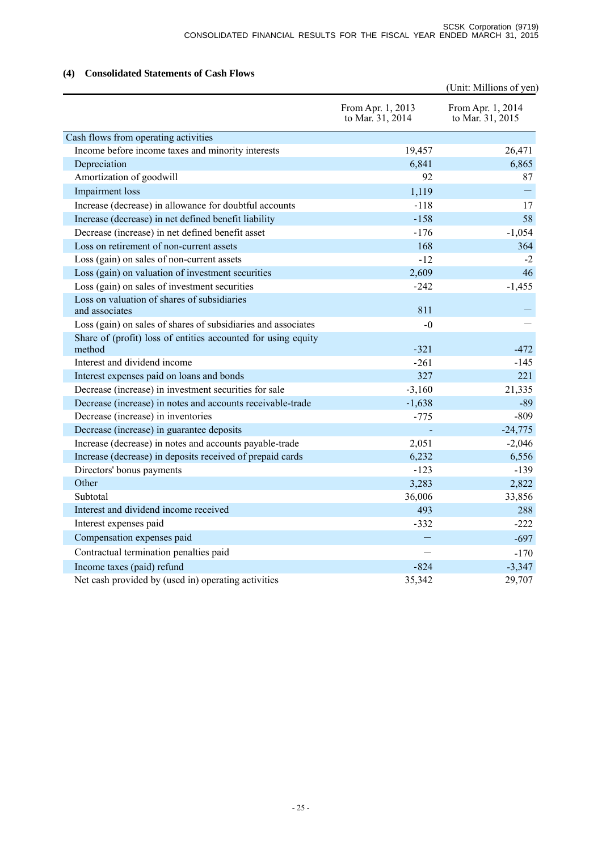### **(4) Consolidated Statements of Cash Flows**

|                                                                         |                                       | (Unit: Millions of yen)               |
|-------------------------------------------------------------------------|---------------------------------------|---------------------------------------|
|                                                                         | From Apr. 1, 2013<br>to Mar. 31, 2014 | From Apr. 1, 2014<br>to Mar. 31, 2015 |
| Cash flows from operating activities                                    |                                       |                                       |
| Income before income taxes and minority interests                       | 19,457                                | 26,471                                |
| Depreciation                                                            | 6,841                                 | 6,865                                 |
| Amortization of goodwill                                                | 92                                    | 87                                    |
| Impairment loss                                                         | 1,119                                 |                                       |
| Increase (decrease) in allowance for doubtful accounts                  | $-118$                                | 17                                    |
| Increase (decrease) in net defined benefit liability                    | $-158$                                | 58                                    |
| Decrease (increase) in net defined benefit asset                        | $-176$                                | $-1,054$                              |
| Loss on retirement of non-current assets                                | 168                                   | 364                                   |
| Loss (gain) on sales of non-current assets                              | $-12$                                 | $-2$                                  |
| Loss (gain) on valuation of investment securities                       | 2,609                                 | 46                                    |
| Loss (gain) on sales of investment securities                           | $-242$                                | $-1,455$                              |
| Loss on valuation of shares of subsidiaries                             |                                       |                                       |
| and associates                                                          | 811                                   |                                       |
| Loss (gain) on sales of shares of subsidiaries and associates           | $-0$                                  |                                       |
| Share of (profit) loss of entities accounted for using equity<br>method | $-321$                                | $-472$                                |
| Interest and dividend income                                            | $-261$                                | -145                                  |
| Interest expenses paid on loans and bonds                               | 327                                   | 221                                   |
| Decrease (increase) in investment securities for sale                   | $-3,160$                              | 21,335                                |
| Decrease (increase) in notes and accounts receivable-trade              | $-1,638$                              | $-89$                                 |
| Decrease (increase) in inventories                                      | $-775$                                | $-809$                                |
| Decrease (increase) in guarantee deposits                               |                                       | $-24,775$                             |
| Increase (decrease) in notes and accounts payable-trade                 | 2,051                                 | $-2,046$                              |
| Increase (decrease) in deposits received of prepaid cards               | 6,232                                 | 6,556                                 |
| Directors' bonus payments                                               | $-123$                                | $-139$                                |
| Other                                                                   | 3,283                                 | 2,822                                 |
| Subtotal                                                                | 36,006                                | 33,856                                |
| Interest and dividend income received                                   | 493                                   | 288                                   |
| Interest expenses paid                                                  | $-332$                                | $-222$                                |
| Compensation expenses paid                                              | $\overline{\phantom{m}}$              | $-697$                                |
| Contractual termination penalties paid                                  |                                       | $-170$                                |
| Income taxes (paid) refund                                              | $-824$                                | $-3,347$                              |
| Net cash provided by (used in) operating activities                     | 35,342                                | 29,707                                |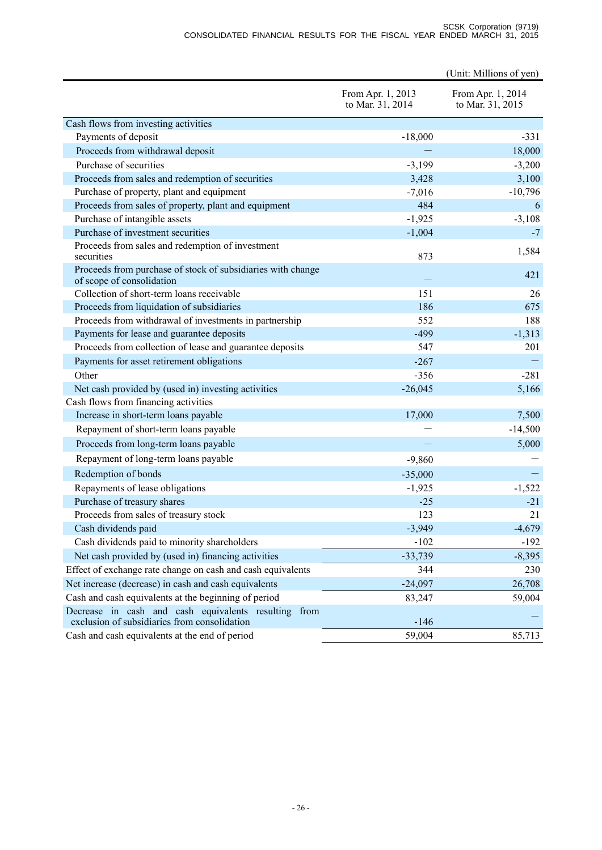#### SCSK Corporation (9719) CONSOLIDATED FINANCIAL RESULTS FOR THE FISCAL YEAR ENDED MARCH 31, 2015

|                                                                                                         |                                       | (Unit: Millions of yen)               |
|---------------------------------------------------------------------------------------------------------|---------------------------------------|---------------------------------------|
|                                                                                                         | From Apr. 1, 2013<br>to Mar. 31, 2014 | From Apr. 1, 2014<br>to Mar. 31, 2015 |
| Cash flows from investing activities                                                                    |                                       |                                       |
| Payments of deposit                                                                                     | $-18,000$                             | $-331$                                |
| Proceeds from withdrawal deposit                                                                        |                                       | 18,000                                |
| Purchase of securities                                                                                  | $-3,199$                              | $-3,200$                              |
| Proceeds from sales and redemption of securities                                                        | 3,428                                 | 3,100                                 |
| Purchase of property, plant and equipment                                                               | $-7,016$                              | $-10,796$                             |
| Proceeds from sales of property, plant and equipment                                                    | 484                                   | 6                                     |
| Purchase of intangible assets                                                                           | $-1,925$                              | $-3,108$                              |
| Purchase of investment securities                                                                       | $-1,004$                              | $-7$                                  |
| Proceeds from sales and redemption of investment<br>securities                                          | 873                                   | 1,584                                 |
| Proceeds from purchase of stock of subsidiaries with change<br>of scope of consolidation                |                                       | 421                                   |
| Collection of short-term loans receivable                                                               | 151                                   | 26                                    |
| Proceeds from liquidation of subsidiaries                                                               | 186                                   | 675                                   |
| Proceeds from withdrawal of investments in partnership                                                  | 552                                   | 188                                   |
| Payments for lease and guarantee deposits                                                               | $-499$                                | $-1,313$                              |
| Proceeds from collection of lease and guarantee deposits                                                | 547                                   | 201                                   |
| Payments for asset retirement obligations                                                               | $-267$                                |                                       |
| Other                                                                                                   | $-356$                                | $-281$                                |
| Net cash provided by (used in) investing activities                                                     | $-26,045$                             | 5,166                                 |
| Cash flows from financing activities                                                                    |                                       |                                       |
| Increase in short-term loans payable                                                                    | 17,000                                | 7,500                                 |
| Repayment of short-term loans payable                                                                   |                                       | $-14,500$                             |
| Proceeds from long-term loans payable                                                                   |                                       | 5,000                                 |
| Repayment of long-term loans payable                                                                    | $-9,860$                              |                                       |
| Redemption of bonds                                                                                     | $-35,000$                             |                                       |
| Repayments of lease obligations                                                                         | $-1,925$                              | $-1,522$                              |
| Purchase of treasury shares                                                                             | $-25$                                 | $-21$                                 |
| Proceeds from sales of treasury stock                                                                   | 123                                   | 21                                    |
| Cash dividends paid                                                                                     | $-3,949$                              | $-4,679$                              |
| Cash dividends paid to minority shareholders                                                            | $-102$                                | $-192$                                |
| Net cash provided by (used in) financing activities                                                     | $-33,739$                             | $-8,395$                              |
| Effect of exchange rate change on cash and cash equivalents                                             | 344                                   | 230                                   |
| Net increase (decrease) in cash and cash equivalents                                                    | $-24,097$                             | 26,708                                |
| Cash and cash equivalents at the beginning of period                                                    | 83,247                                | 59,004                                |
| Decrease in cash and cash equivalents resulting<br>from<br>exclusion of subsidiaries from consolidation | $-146$                                |                                       |
| Cash and cash equivalents at the end of period                                                          | 59,004                                | 85,713                                |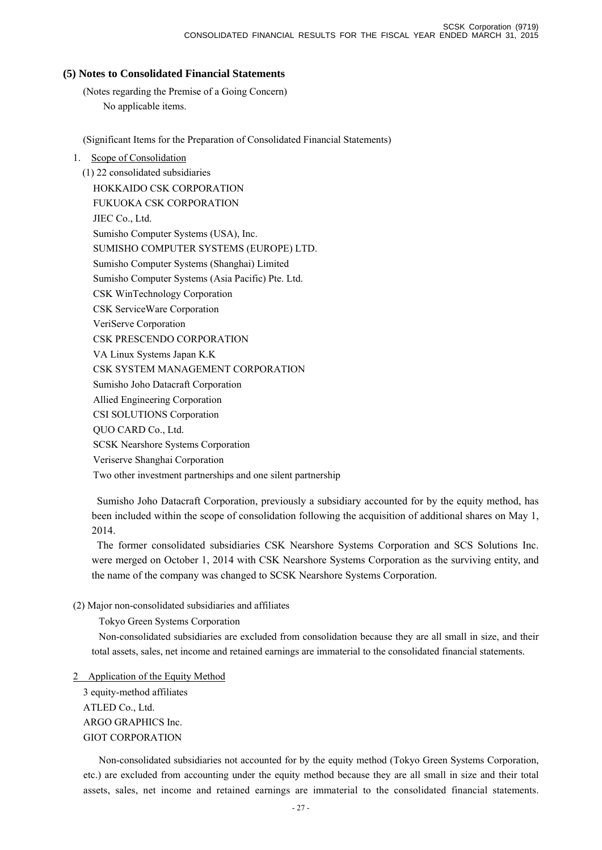### **(5) Notes to Consolidated Financial Statements**

(Notes regarding the Premise of a Going Concern) No applicable items.

(Significant Items for the Preparation of Consolidated Financial Statements)

1. Scope of Consolidation

(1) 22 consolidated subsidiaries HOKKAIDO CSK CORPORATION FUKUOKA CSK CORPORATION JIEC Co., Ltd. Sumisho Computer Systems (USA), Inc. SUMISHO COMPUTER SYSTEMS (EUROPE) LTD. Sumisho Computer Systems (Shanghai) Limited Sumisho Computer Systems (Asia Pacific) Pte. Ltd. CSK WinTechnology Corporation CSK ServiceWare Corporation VeriServe Corporation CSK PRESCENDO CORPORATION VA Linux Systems Japan K.K CSK SYSTEM MANAGEMENT CORPORATION Sumisho Joho Datacraft Corporation Allied Engineering Corporation CSI SOLUTIONS Corporation QUO CARD Co., Ltd. SCSK Nearshore Systems Corporation Veriserve Shanghai Corporation Two other investment partnerships and one silent partnership

Sumisho Joho Datacraft Corporation, previously a subsidiary accounted for by the equity method, has been included within the scope of consolidation following the acquisition of additional shares on May 1, 2014.

The former consolidated subsidiaries CSK Nearshore Systems Corporation and SCS Solutions Inc. were merged on October 1, 2014 with CSK Nearshore Systems Corporation as the surviving entity, and the name of the company was changed to SCSK Nearshore Systems Corporation.

### (2) Major non-consolidated subsidiaries and affiliates

Tokyo Green Systems Corporation

Non-consolidated subsidiaries are excluded from consolidation because they are all small in size, and their total assets, sales, net income and retained earnings are immaterial to the consolidated financial statements.

### 2 Application of the Equity Method

3 equity-method affiliates ATLED Co., Ltd. ARGO GRAPHICS Inc. GIOT CORPORATION

Non-consolidated subsidiaries not accounted for by the equity method (Tokyo Green Systems Corporation, etc.) are excluded from accounting under the equity method because they are all small in size and their total assets, sales, net income and retained earnings are immaterial to the consolidated financial statements.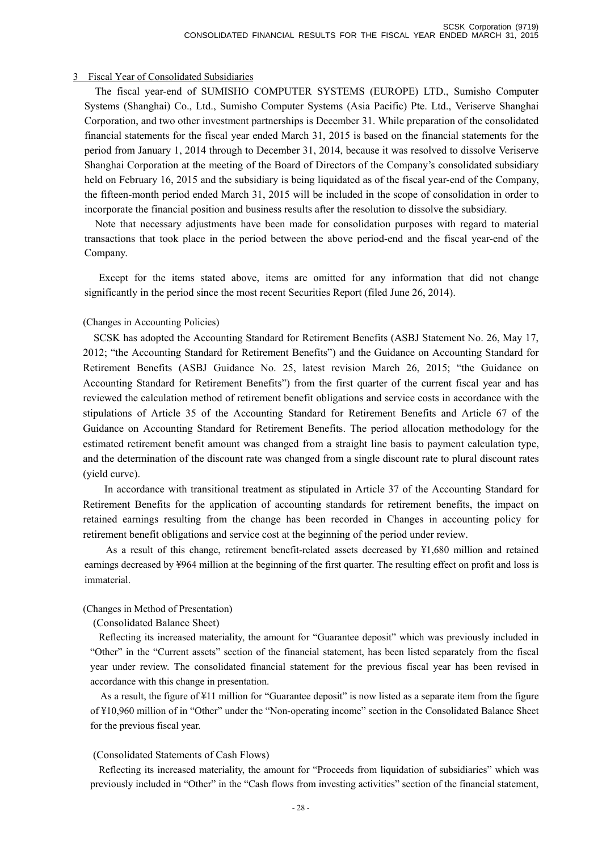#### 3 Fiscal Year of Consolidated Subsidiaries

The fiscal year-end of SUMISHO COMPUTER SYSTEMS (EUROPE) LTD., Sumisho Computer Systems (Shanghai) Co., Ltd., Sumisho Computer Systems (Asia Pacific) Pte. Ltd., Veriserve Shanghai Corporation, and two other investment partnerships is December 31. While preparation of the consolidated financial statements for the fiscal year ended March 31, 2015 is based on the financial statements for the period from January 1, 2014 through to December 31, 2014, because it was resolved to dissolve Veriserve Shanghai Corporation at the meeting of the Board of Directors of the Company's consolidated subsidiary held on February 16, 2015 and the subsidiary is being liquidated as of the fiscal year-end of the Company, the fifteen-month period ended March 31, 2015 will be included in the scope of consolidation in order to incorporate the financial position and business results after the resolution to dissolve the subsidiary.

Note that necessary adjustments have been made for consolidation purposes with regard to material transactions that took place in the period between the above period-end and the fiscal year-end of the Company.

Except for the items stated above, items are omitted for any information that did not change significantly in the period since the most recent Securities Report (filed June 26, 2014).

#### (Changes in Accounting Policies)

SCSK has adopted the Accounting Standard for Retirement Benefits (ASBJ Statement No. 26, May 17, 2012; "the Accounting Standard for Retirement Benefits") and the Guidance on Accounting Standard for Retirement Benefits (ASBJ Guidance No. 25, latest revision March 26, 2015; "the Guidance on Accounting Standard for Retirement Benefits") from the first quarter of the current fiscal year and has reviewed the calculation method of retirement benefit obligations and service costs in accordance with the stipulations of Article 35 of the Accounting Standard for Retirement Benefits and Article 67 of the Guidance on Accounting Standard for Retirement Benefits. The period allocation methodology for the estimated retirement benefit amount was changed from a straight line basis to payment calculation type, and the determination of the discount rate was changed from a single discount rate to plural discount rates (yield curve).

 In accordance with transitional treatment as stipulated in Article 37 of the Accounting Standard for Retirement Benefits for the application of accounting standards for retirement benefits, the impact on retained earnings resulting from the change has been recorded in Changes in accounting policy for retirement benefit obligations and service cost at the beginning of the period under review.

As a result of this change, retirement benefit-related assets decreased by ¥1,680 million and retained earnings decreased by ¥964 million at the beginning of the first quarter. The resulting effect on profit and loss is immaterial.

#### (Changes in Method of Presentation)

(Consolidated Balance Sheet)

Reflecting its increased materiality, the amount for "Guarantee deposit" which was previously included in "Other" in the "Current assets" section of the financial statement, has been listed separately from the fiscal year under review. The consolidated financial statement for the previous fiscal year has been revised in accordance with this change in presentation.

As a result, the figure of ¥11 million for "Guarantee deposit" is now listed as a separate item from the figure of ¥10,960 million of in "Other" under the "Non-operating income" section in the Consolidated Balance Sheet for the previous fiscal year.

#### (Consolidated Statements of Cash Flows)

Reflecting its increased materiality, the amount for "Proceeds from liquidation of subsidiaries" which was previously included in "Other" in the "Cash flows from investing activities" section of the financial statement,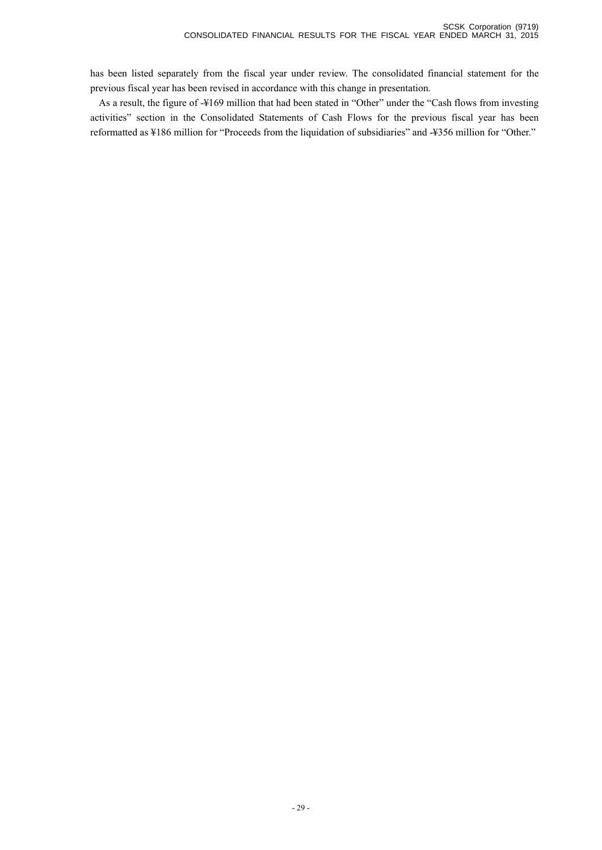has been listed separately from the fiscal year under review. The consolidated financial statement for the previous fiscal year has been revised in accordance with this change in presentation.

As a result, the figure of -¥169 million that had been stated in "Other" under the "Cash flows from investing activities" section in the Consolidated Statements of Cash Flows for the previous fiscal year has been reformatted as ¥186 million for "Proceeds from the liquidation of subsidiaries" and -¥356 million for "Other."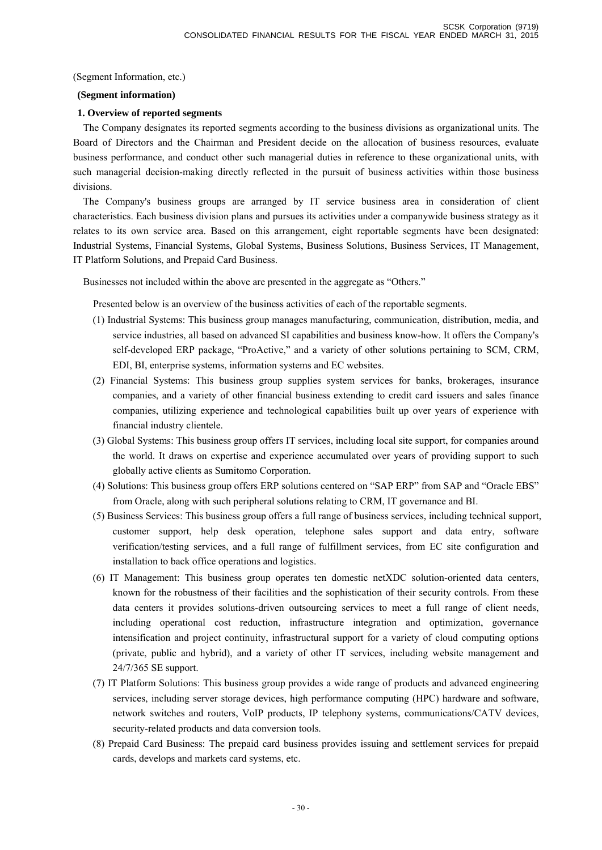(Segment Information, etc.)

#### **(Segment information)**

#### **1. Overview of reported segments**

The Company designates its reported segments according to the business divisions as organizational units. The Board of Directors and the Chairman and President decide on the allocation of business resources, evaluate business performance, and conduct other such managerial duties in reference to these organizational units, with such managerial decision-making directly reflected in the pursuit of business activities within those business divisions.

The Company's business groups are arranged by IT service business area in consideration of client characteristics. Each business division plans and pursues its activities under a companywide business strategy as it relates to its own service area. Based on this arrangement, eight reportable segments have been designated: Industrial Systems, Financial Systems, Global Systems, Business Solutions, Business Services, IT Management, IT Platform Solutions, and Prepaid Card Business.

Businesses not included within the above are presented in the aggregate as "Others."

Presented below is an overview of the business activities of each of the reportable segments.

- (1) Industrial Systems: This business group manages manufacturing, communication, distribution, media, and service industries, all based on advanced SI capabilities and business know-how. It offers the Company's self-developed ERP package, "ProActive," and a variety of other solutions pertaining to SCM, CRM, EDI, BI, enterprise systems, information systems and EC websites.
- (2) Financial Systems: This business group supplies system services for banks, brokerages, insurance companies, and a variety of other financial business extending to credit card issuers and sales finance companies, utilizing experience and technological capabilities built up over years of experience with financial industry clientele.
- (3) Global Systems: This business group offers IT services, including local site support, for companies around the world. It draws on expertise and experience accumulated over years of providing support to such globally active clients as Sumitomo Corporation.
- (4) Solutions: This business group offers ERP solutions centered on "SAP ERP" from SAP and "Oracle EBS" from Oracle, along with such peripheral solutions relating to CRM, IT governance and BI.
- (5) Business Services: This business group offers a full range of business services, including technical support, customer support, help desk operation, telephone sales support and data entry, software verification/testing services, and a full range of fulfillment services, from EC site configuration and installation to back office operations and logistics.
- (6) IT Management: This business group operates ten domestic netXDC solution-oriented data centers, known for the robustness of their facilities and the sophistication of their security controls. From these data centers it provides solutions-driven outsourcing services to meet a full range of client needs, including operational cost reduction, infrastructure integration and optimization, governance intensification and project continuity, infrastructural support for a variety of cloud computing options (private, public and hybrid), and a variety of other IT services, including website management and 24/7/365 SE support.
- (7) IT Platform Solutions: This business group provides a wide range of products and advanced engineering services, including server storage devices, high performance computing (HPC) hardware and software, network switches and routers, VoIP products, IP telephony systems, communications/CATV devices, security-related products and data conversion tools.
- (8) Prepaid Card Business: The prepaid card business provides issuing and settlement services for prepaid cards, develops and markets card systems, etc.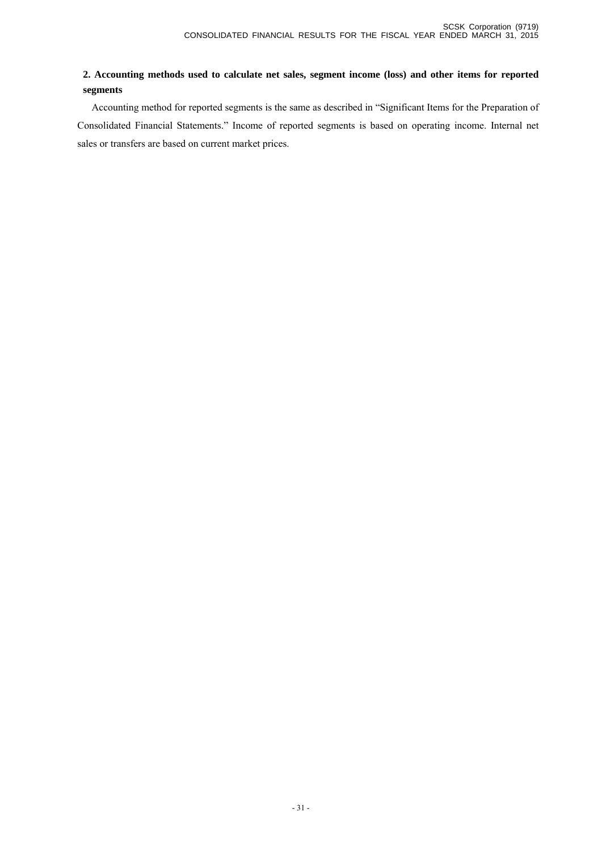### **2. Accounting methods used to calculate net sales, segment income (loss) and other items for reported segments**

Accounting method for reported segments is the same as described in "Significant Items for the Preparation of Consolidated Financial Statements." Income of reported segments is based on operating income. Internal net sales or transfers are based on current market prices.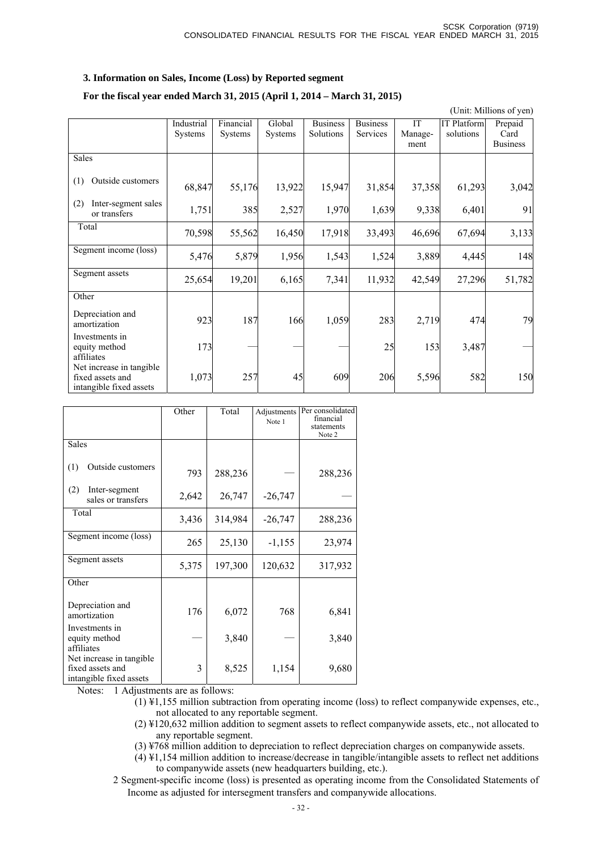#### **3. Information on Sales, Income (Loss) by Reported segment**

#### **For the fiscal year ended March 31, 2015 (April 1, 2014 – March 31, 2015)**

 (Unit: Millions of yen) Industrial Systems Financial Systems Global Systems **Business** Solutions Business Services IT Management IT Platform solutions Prepaid Card Business Sales (1) Outside customers 68,847 55,176 13,922 15,947 31,854 37,358 61,293 3,042 (2) Inter-segment sales or transfers 1,751 385 2,527 1,970 1,639 9,338 6,401 91 Total 70,598 55,562 16,450 17,918 33,493 46,696 67,694 3,133 Segment income (loss) 5,476 5,879 1,956 1,543 1,524 3,889 4,445 148 Segment assets 25,654 19,201 6,165 7,341 11,932 42,549 27,296 51,782 **Other** Depreciation and amortization and 1923 187 166 1,059 283 2,719 474 79 Investments in equity method affiliates  $173$   $25$   $153$   $3,487$   $-$ Net increase in tangible fixed assets and intangible fixed assets 1,073 257 45 609 206 5,596 582 150

|                                                                          | Other | Total   | Adjustments<br>Note 1 | Per consolidated<br>financial<br>statements<br>Note 2 |
|--------------------------------------------------------------------------|-------|---------|-----------------------|-------------------------------------------------------|
| <b>Sales</b>                                                             |       |         |                       |                                                       |
| Outside customers<br>(1)                                                 | 793   | 288,236 |                       | 288,236                                               |
| (2)<br>Inter-segment<br>sales or transfers                               | 2,642 | 26,747  | $-26,747$             |                                                       |
| Total                                                                    | 3,436 | 314,984 | $-26,747$             | 288,236                                               |
| Segment income (loss)                                                    | 265   | 25,130  | $-1,155$              | 23,974                                                |
| Segment assets                                                           | 5,375 | 197,300 | 120,632               | 317,932                                               |
| Other                                                                    |       |         |                       |                                                       |
| Depreciation and<br>amortization                                         | 176   | 6,072   | 768                   | 6,841                                                 |
| Investments in<br>equity method<br>affiliates                            |       | 3,840   |                       | 3,840                                                 |
| Net increase in tangible.<br>fixed assets and<br>intangible fixed assets | 3     | 8,525   | 1,154                 | 9,680                                                 |

Notes: 1 Adjustments are as follows:

(1) ¥1,155 million subtraction from operating income (loss) to reflect companywide expenses, etc., not allocated to any reportable segment.

(2) ¥120,632 million addition to segment assets to reflect companywide assets, etc., not allocated to any reportable segment.

(3) ¥768 million addition to depreciation to reflect depreciation charges on companywide assets.

(4) ¥1,154 million addition to increase/decrease in tangible/intangible assets to reflect net additions to companywide assets (new headquarters building, etc.).

2 Segment-specific income (loss) is presented as operating income from the Consolidated Statements of Income as adjusted for intersegment transfers and companywide allocations.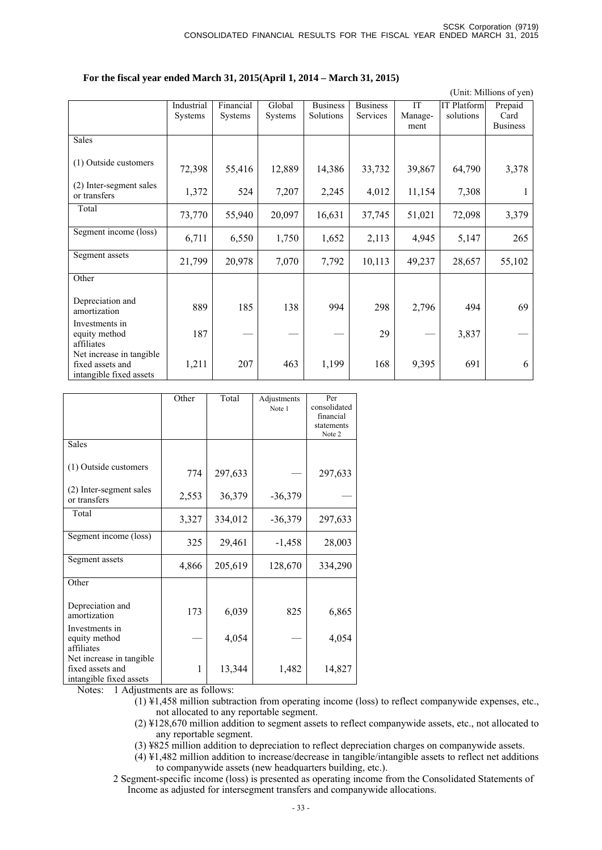#### **For the fiscal year ended March 31, 2015(April 1, 2014 – March 31, 2015)**

(Unit: Millions of yen)

|                                                                         | Industrial<br>Systems | Financial<br>Systems | Global<br>Systems | <b>Business</b><br>Solutions | <b>Business</b><br>Services | IT<br>Manage-<br>ment | IT Platform<br>solutions | Prepaid<br>Card<br><b>Business</b> |
|-------------------------------------------------------------------------|-----------------------|----------------------|-------------------|------------------------------|-----------------------------|-----------------------|--------------------------|------------------------------------|
| Sales                                                                   |                       |                      |                   |                              |                             |                       |                          |                                    |
| (1) Outside customers                                                   | 72,398                | 55,416               | 12,889            | 14,386                       | 33,732                      | 39,867                | 64,790                   | 3,378                              |
| (2) Inter-segment sales<br>or transfers                                 | 1,372                 | 524                  | 7,207             | 2,245                        | 4,012                       | 11,154                | 7,308                    |                                    |
| Total                                                                   | 73,770                | 55,940               | 20,097            | 16,631                       | 37,745                      | 51,021                | 72,098                   | 3,379                              |
| Segment income (loss)                                                   | 6,711                 | 6,550                | 1,750             | 1,652                        | 2,113                       | 4,945                 | 5,147                    | 265                                |
| Segment assets                                                          | 21,799                | 20,978               | 7,070             | 7,792                        | 10,113                      | 49,237                | 28,657                   | 55,102                             |
| Other                                                                   |                       |                      |                   |                              |                             |                       |                          |                                    |
| Depreciation and<br>amortization                                        | 889                   | 185                  | 138               | 994                          | 298                         | 2,796                 | 494                      | 69                                 |
| Investments in<br>equity method<br>affiliates                           | 187                   |                      |                   |                              | 29                          |                       | 3,837                    |                                    |
| Net increase in tangible<br>fixed assets and<br>intangible fixed assets | 1,211                 | 207                  | 463               | 1,199                        | 168                         | 9,395                 | 691                      | 6                                  |

|                                                                         | Other | Total          | Adjustments<br>Note 1 | Per<br>consolidated<br>financial<br>statements<br>Note 2 |
|-------------------------------------------------------------------------|-------|----------------|-----------------------|----------------------------------------------------------|
| <b>Sales</b>                                                            |       |                |                       |                                                          |
| (1) Outside customers                                                   | 774   | 297,633        |                       | 297,633                                                  |
| (2) Inter-segment sales<br>or transfers                                 | 2,553 | 36,379         | $-36,379$             |                                                          |
| Total                                                                   | 3,327 | 334,012        | $-36,379$             | 297,633                                                  |
| Segment income (loss)                                                   | 325   | 29,461         | $-1,458$              | 28,003                                                   |
| Segment assets                                                          | 4,866 | 205,619        | 128,670               | 334,290                                                  |
| Other                                                                   |       |                |                       |                                                          |
| Depreciation and<br>amortization                                        | 173   | 6,039          | 825                   | 6,865                                                    |
| Investments in<br>equity method<br>affiliates                           |       | 4,054          |                       | 4,054                                                    |
| Net increase in tangible<br>fixed assets and<br>intangible fixed assets | 1     | 13,344<br>0.11 | 1,482                 | 14,827                                                   |

Notes: 1 Adjustments are as follows:

 $(1)$  ¥1,458 million subtraction from operating income (loss) to reflect companywide expenses, etc., not allocated to any reportable segment.

(2) ¥128,670 million addition to segment assets to reflect companywide assets, etc., not allocated to any reportable segment.

(3) ¥825 million addition to depreciation to reflect depreciation charges on companywide assets.

 $(4)$  ¥1,482 million addition to increase/decrease in tangible/intangible assets to reflect net additions to companywide assets (new headquarters building, etc.).

2 Segment-specific income (loss) is presented as operating income from the Consolidated Statements of Income as adjusted for intersegment transfers and companywide allocations.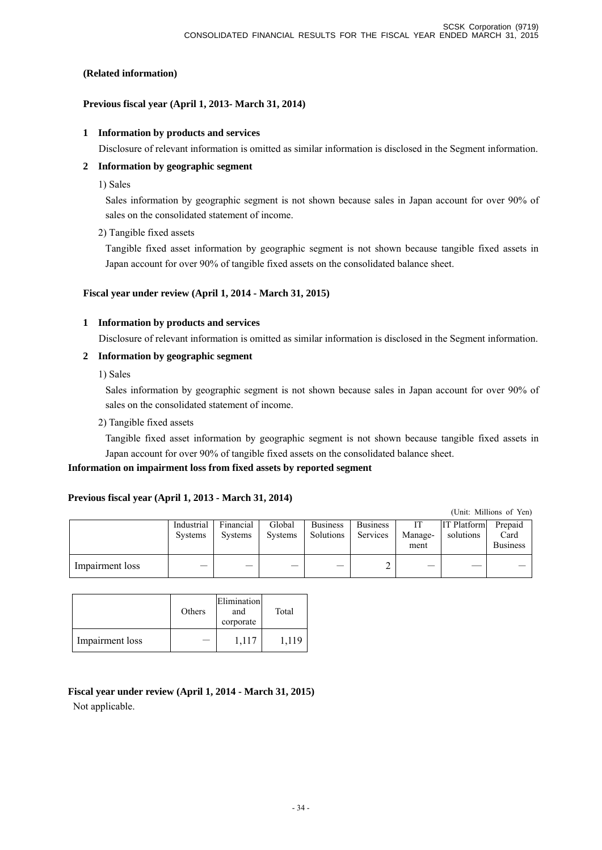### **(Related information)**

### **Previous fiscal year (April 1, 2013- March 31, 2014)**

### **1 Information by products and services**

Disclosure of relevant information is omitted as similar information is disclosed in the Segment information.

### **2 Information by geographic segment**

1) Sales

Sales information by geographic segment is not shown because sales in Japan account for over 90% of sales on the consolidated statement of income.

2) Tangible fixed assets

Tangible fixed asset information by geographic segment is not shown because tangible fixed assets in Japan account for over 90% of tangible fixed assets on the consolidated balance sheet.

### **Fiscal year under review (April 1, 2014 - March 31, 2015)**

### **1 Information by products and services**

Disclosure of relevant information is omitted as similar information is disclosed in the Segment information.

### **2 Information by geographic segment**

1) Sales

Sales information by geographic segment is not shown because sales in Japan account for over 90% of sales on the consolidated statement of income.

2) Tangible fixed assets

Tangible fixed asset information by geographic segment is not shown because tangible fixed assets in Japan account for over 90% of tangible fixed assets on the consolidated balance sheet.

### **Information on impairment loss from fixed assets by reported segment**

### **Previous fiscal year (April 1, 2013 - March 31, 2014)**

(Unit: Millions of Yen)

|                 | Industrial<br><b>Systems</b> | Financial<br><b>Systems</b> | Global<br>Systems | <b>Business</b><br>Solutions | <b>Business</b><br>Services | IТ<br>Manage-<br>ment | <b>IT Platform</b><br>solutions | Prepaid<br>Card<br><b>Business</b> |
|-----------------|------------------------------|-----------------------------|-------------------|------------------------------|-----------------------------|-----------------------|---------------------------------|------------------------------------|
| Impairment loss |                              |                             | –                 |                              |                             |                       |                                 |                                    |

|                 | Others | Elimination<br>and<br>corporate | Total |
|-----------------|--------|---------------------------------|-------|
| Impairment loss |        | 1,117                           | 1.119 |

### **Fiscal year under review (April 1, 2014 - March 31, 2015)**

Not applicable.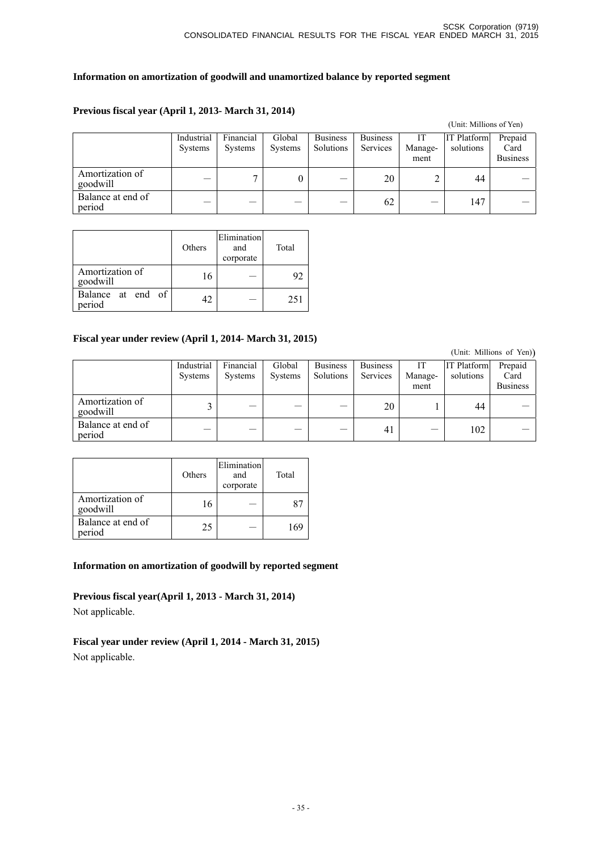### **Information on amortization of goodwill and unamortized balance by reported segment**

#### (Unit: Millions of Yen) Industrial Systems Financial Systems Global Systems Business Solutions Business Services IT Management IT Platform solutions Prepaid Card Business Amortization of<br>goodwill Amortization of  $\begin{vmatrix} - & 7 & 0 & - & 20 \\ 0 & - & 2 & 44 & - \end{vmatrix}$ Balance at end of Balance at end of  $62$   $147$   $-$

### **Previous fiscal year (April 1, 2013- March 31, 2014)**

|                             | Others | Elimination<br>and<br>corporate | Total |
|-----------------------------|--------|---------------------------------|-------|
| Amortization of<br>goodwill | 16     |                                 | 92    |
| Balance at end of<br>period | 42     |                                 | 251   |

### **Fiscal year under review (April 1, 2014- March 31, 2015)**

|                             |                       |                             |                          |                              |                             |                       |                                 | (Unit: Millions of Yen))           |
|-----------------------------|-----------------------|-----------------------------|--------------------------|------------------------------|-----------------------------|-----------------------|---------------------------------|------------------------------------|
|                             | Industrial<br>Systems | Financial<br><b>Systems</b> | Global<br><b>Systems</b> | <b>Business</b><br>Solutions | <b>Business</b><br>Services | IT<br>Manage-<br>ment | <b>IT Platform</b><br>solutions | Prepaid<br>Card<br><b>Business</b> |
| Amortization of<br>goodwill |                       |                             |                          |                              | 20                          |                       | 44                              |                                    |
| Balance at end of<br>period |                       |                             |                          |                              | 41                          |                       | 102                             |                                    |

|                             | Others | Elimination<br>and<br>corporate | Total |
|-----------------------------|--------|---------------------------------|-------|
| Amortization of<br>goodwill | 16     |                                 |       |
| Balance at end of<br>period | 25     |                                 | 169   |

### **Information on amortization of goodwill by reported segment**

**Previous fiscal year(April 1, 2013 - March 31, 2014)**  Not applicable.

**Fiscal year under review (April 1, 2014 - March 31, 2015)**  Not applicable.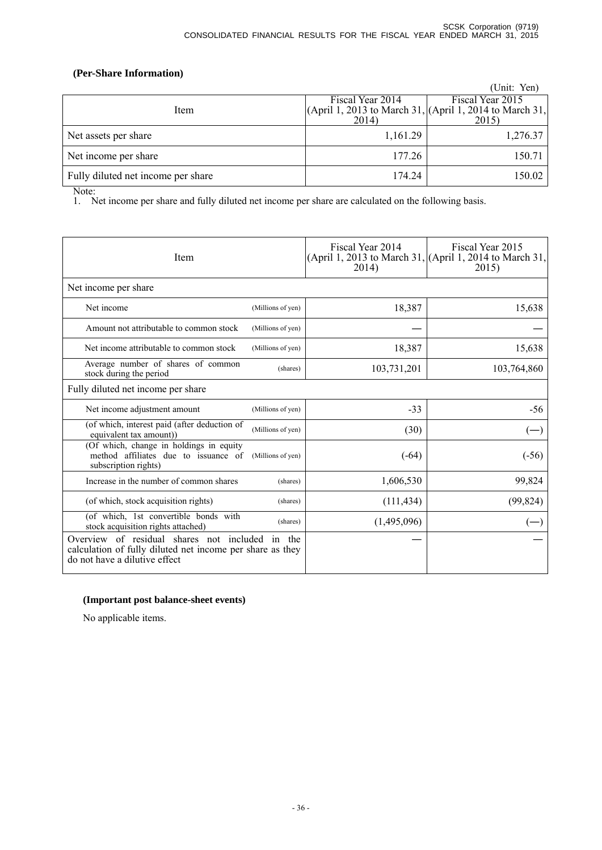### **(Per-Share Information)**

|                                    |                  | (Unit: Yen)                                                 |
|------------------------------------|------------------|-------------------------------------------------------------|
|                                    | Fiscal Year 2014 | Fiscal Year 2015                                            |
| Item                               |                  | $(April 1, 2013$ to March 31, $(April 1, 2014$ to March 31, |
|                                    | 2014)            | 2015)                                                       |
| Net assets per share               | 1,161.29         | 1,276.37                                                    |
| Net income per share               | 177.26           | 150.71                                                      |
| Fully diluted net income per share | 174.24           | 150.02                                                      |

Note:

1. Net income per share and fully diluted net income per share are calculated on the following basis.

| Item                                                                                                                                          |                   | Fiscal Year 2014<br>2014) | Fiscal Year 2015<br>(April 1, 2013 to March 31, (April 1, 2014 to March 31,<br>2015) |
|-----------------------------------------------------------------------------------------------------------------------------------------------|-------------------|---------------------------|--------------------------------------------------------------------------------------|
| Net income per share                                                                                                                          |                   |                           |                                                                                      |
| Net income                                                                                                                                    | (Millions of yen) | 18,387                    | 15,638                                                                               |
| Amount not attributable to common stock                                                                                                       | (Millions of yen) |                           |                                                                                      |
| Net income attributable to common stock                                                                                                       | (Millions of yen) | 18,387                    | 15,638                                                                               |
| Average number of shares of common<br>stock during the period                                                                                 | (shares)          | 103,731,201               | 103,764,860                                                                          |
| Fully diluted net income per share                                                                                                            |                   |                           |                                                                                      |
| Net income adjustment amount                                                                                                                  | (Millions of yen) | $-33$                     | -56                                                                                  |
| (of which, interest paid (after deduction of<br>equivalent tax amount)                                                                        | (Millions of yen) | (30)                      |                                                                                      |
| (Of which, change in holdings in equity<br>method affiliates due to issuance of<br>subscription rights)                                       | (Millions of yen) | $(-64)$                   | $(-56)$                                                                              |
| Increase in the number of common shares                                                                                                       | (shares)          | 1,606,530                 | 99,824                                                                               |
| (of which, stock acquisition rights)                                                                                                          | (shares)          | (111, 434)                | (99, 824)                                                                            |
| (of which, 1st convertible bonds with<br>stock acquisition rights attached)                                                                   | (shares)          | (1,495,096)               |                                                                                      |
| Overview of residual shares not included in the<br>calculation of fully diluted net income per share as they<br>do not have a dilutive effect |                   |                           |                                                                                      |

#### **(Important post balance-sheet events)**

No applicable items.